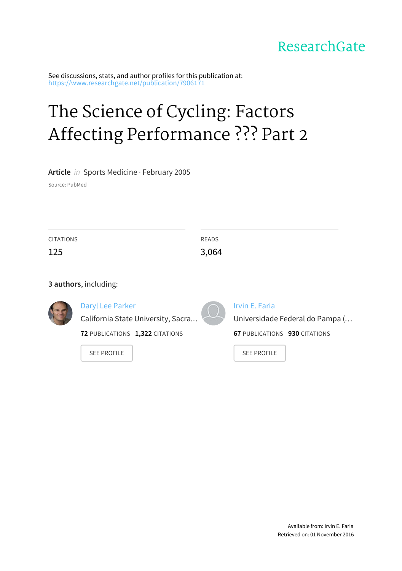## ResearchGate

See discussions, stats, and author profiles for this publication at: [https://www.researchgate.net/publication/7906171](https://www.researchgate.net/publication/7906171_The_Science_of_Cycling_Factors_Affecting_Performance_Part_2?enrichId=rgreq-e7fd3f584af7165c35f12e381aa3ebc4-XXX&enrichSource=Y292ZXJQYWdlOzc5MDYxNzE7QVM6MTA0NTExMTI1MzI3ODc4QDE0MDE5Mjg4MDI3MDc%3D&el=1_x_2)

# The Science of Cycling: Factors Affecting [Performance](https://www.researchgate.net/publication/7906171_The_Science_of_Cycling_Factors_Affecting_Performance_Part_2?enrichId=rgreq-e7fd3f584af7165c35f12e381aa3ebc4-XXX&enrichSource=Y292ZXJQYWdlOzc5MDYxNzE7QVM6MTA0NTExMTI1MzI3ODc4QDE0MDE5Mjg4MDI3MDc%3D&el=1_x_3) ??? Part 2

### **Article** in Sports Medicine · February 2005

Source: PubMed

| <b>CITATIONS</b>      | <b>READS</b> |  |
|-----------------------|--------------|--|
| 125                   | 3,064        |  |
|                       |              |  |
| 3 authors, including: |              |  |
|                       | .            |  |

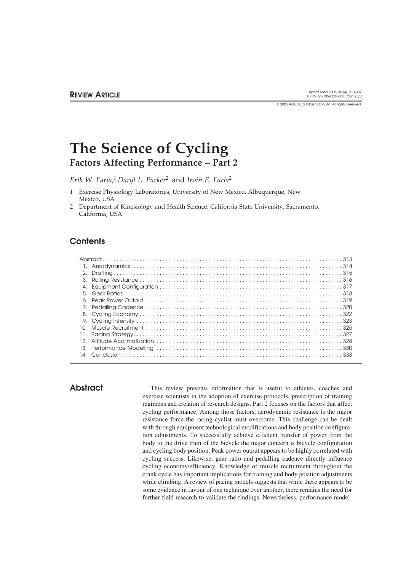2005 Adis Data Information BV. All rights reserved.

## **The Science of Cycling Factors Affecting Performance – Part 2**

*Erik W. Faria*, <sup>1</sup>*Daryl L. Parker*2 and *Irvin E. Faria*<sup>2</sup>

- 1 Exercise Physiology Laboratories, University of New Mexico, Albuquerque, New Mexico, USA
- 2 Department of Kinesiology and Health Science, California State University, Sacramento, California, USA

### **Contents**

**Abstract** This review presents information that is useful to athletes, coaches and exercise scientists in the adoption of exercise protocols, prescription of training regimens and creation of research designs. Part 2 focuses on the factors that affect cycling performance. Among those factors, aerodynamic resistance is the major resistance force the racing cyclist must overcome. This challenge can be dealt with through equipment technological modifications and body position configuration adjustments. To successfully achieve efficient transfer of power from the body to the drive train of the bicycle the major concern is bicycle configuration and cycling body position. Peak power output appears to be highly correlated with cycling success. Likewise, gear ratio and pedalling cadence directly influence cycling economy/efficiency. Knowledge of muscle recruitment throughout the crank cycle has important implications for training and body position adjustments while climbing. A review of pacing models suggests that while there appears to be some evidence in favour of one technique over another, there remains the need for further field research to validate the findings. Nevertheless, performance model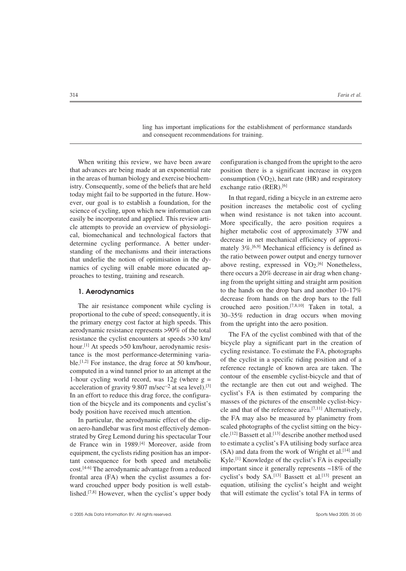ling has important implications for the establishment of performance standards and consequent recommendations for training.

istry. Consequently, some of the beliefs that are held exchange ratio (RER).<sup>[6]</sup><br>today might fail to be supported in the future. Howtoday might fail to be supported in the future. How-<br>ever, our goal is to establish a foundation, for the<br>science of cycling, upon which new information can<br>easily be incorporated and applied. This review arti-<br>cle attemp

the primary energy cost factor at high speeds. This from the upright into the aero position.<br>aerodynamic resistance represents >90% of the total aerodynamic resistance represents >90% of the total<br>resistance the cyclist encounters at speeds >30 km/<br>hour.<sup>[1]</sup> At speeds >50 km/hour, aerodynamic resis-<br>tance is the most performance-determining varia-<br>ble.<sup>[1,2]</sup> For tion of the bicycle and its components and cyclist's masses of the pictures of the ensemble cyclist-bicy-

de France win in 1989.<sup>[4]</sup> Moreover, aside from  $cost.<sup>[4-6]</sup>$  The aerodynamic advantage from a reduced frontal area (FA) when the cyclist assumes a for- cyclist's body  $SA$ <sup>[13]</sup> Bassett et al.<sup>[13]</sup> present an lished.<sup>[7,8]</sup> However, when the cyclist's upper body that will estimate the cyclist's total FA in terms of

When writing this review, we have been aware configuration is changed from the upright to the aero that advances are being made at an exponential rate position there is a significant increase in oxygen in the areas of human biology and exercise biochem- consumption  $(\rm VO<sub>2</sub>)$ , heart rate (HR) and respiratory

that underlie the notion of optimisation in the dy-<br>
namics of cycling will enable more educated ap-<br>
proaches to testing, training and research.<br>
ing from the upright sitting and straight arm position<br>
ing from the uprig **1. Aerodynamics** to the hands on the drop bars and another  $10-17\%$ decrease from hands on the drop bars to the full The air resistance component while cycling is crouched aero position.<sup>[7,8,10]</sup> Taken in total, a proportional to the cube of speed; consequently, it is 30–35% reduction in drag occurs when moving

acceleration of gravity 9.807 m/sec<sup>-2</sup> at sea level).<sup>[3]</sup> the rectangle are then cut out and weighed. The In an effort to reduce this drag force, the configura-<br>In an effort to reduce this drag force, the configurabody position have received much attention. cle and that of the reference area.<sup>[7,11]</sup> Alternatively, In particular, the aerodynamic effect of the clip-<br>aero-handlebar was first most effectively demon-scaled photographs of the cyclist sitting on the bicyon aero-handlebar was first most effectively demon-<br>strated by Greg I emond during his spectacular Tour cle.<sup>[12]</sup> Bassett et al.<sup>[13]</sup> describe another method used strated by Greg Lemond during his spectacular Tour cle.<sup>[12]</sup> Bassett et al.<sup>[13]</sup> describe another method used<br>de France win in 1989<sup>[4]</sup> Moreover aside from to estimate a cyclist's FA utilising body surface area equipment, the cyclists riding position has an impor-  $(SA)$  and data from the work of Wright et al.<sup>[14]</sup> and tant consequence for both speed and metabolic Kyle.<sup>[1]</sup> Knowledge of the cyclist's FA is especially tant consequence for both speed and metabolic Kyle.<sup>[1]</sup> Knowledge of the cyclist's FA is especially cost.<sup>[4-6]</sup> The aerodynamic advantage from a reduced important since it generally represents ~18% of the ward crouched upper body position is well estab- equation, utilising the cyclist's height and weight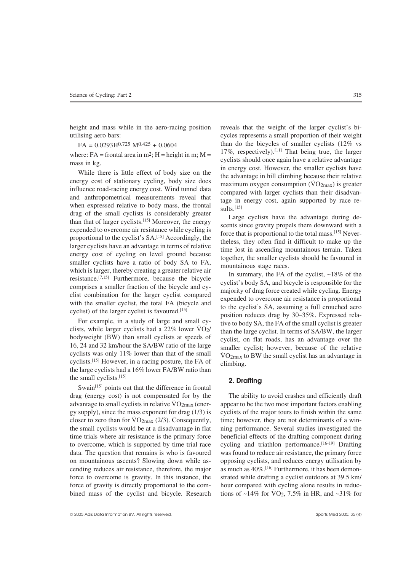height and mass while in the aero-racing position reveals that the weight of the larger cyclist's biutilising aero bars: cycles represents a small proportion of their weight

drag of the small cyclists is considerably greater<br>
than that of larger cyclists.<sup>[15]</sup> Moreover, the energy<br>
expended to overcome air resistance while cycling is<br>
expended to overcome air resistance while cycling is<br>
lar

the small cyclists.[15]

Swain $[15]$  points out that the difference in frontal drag (energy cost) is not compensated for by the The ability to avoid crashes and efficiently draft advantage to small cyclists in relative  $\rm{VO}_{2max}$  (ener- appear to be the two most important factors enabling gy supply), since the mass exponent for drag  $(1/3)$  is cyclists of the major tours to finish within the same closer to zero than for  $VO<sub>2max</sub>$  (2/3). Consequently, time; however, they are not determinants of a winthe small cyclists would be at a disadvantage in flat ning performance. Several studies investigated the time trials where air resistance is the primary force beneficial effects of the drafting component during to overcome, which is supported by time trial race cycling and triathlon performance.<sup>[16-19]</sup> Drafting data. The question that remains is who is favoured was found to reduce air resistance, the primary force on mountainous ascents? Slowing down while as- opposing cyclists, and reduces energy utilisation by cending reduces air resistance, therefore, the major as much as  $40\%$ .<sup>[16]</sup> Furthermore, it has been demonforce to overcome is gravity. In this instance, the strated while drafting a cyclist outdoors at 39.5 km/ force of gravity is directly proportional to the com- hour compared with cycling alone results in reducbined mass of the cyclist and bicycle. Research tions of ~14% for VO2, 7.5% in HR, and ~31% for

 $FA = 0.0293H^{0.725} M^{0.425} + 0.0604$  than do the bicycles of smaller cyclists (12% vs  $FA =$  frontel groe in  $m^2$ :  $H =$  beight in  $m: M =$  17%, respectively).<sup>[11]</sup> That being true, the larger where: FA = frontal area in m<sup>2</sup>; H = height in m; M =  $17\%$ , respectively).<sup>[11]</sup> That being true, the larger<br>mass in kg.<br>While there is little effect of body size on the energy cost. However, the smaller cyclists have<br>

position reduces drag by 30–35%. Expressed rela-<br>For example, in a study of large and small cy-<br>clists, while larger cyclists had a 22% lower  $\sqrt{O_2}$  than the large cyclist. In terms of SA/BW, the larger<br>bodyweight (BW)

### **2. Drafting**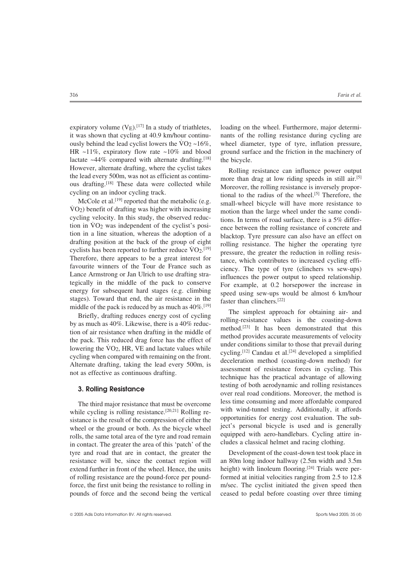expiratory volume  $(V_E)$ .<sup>[17]</sup> In a study of triathletes, loading on the wheel. Furthermore, major determitives shown that cycling at 40.9 km/hour continu-<br>it was shown that cycling at 40.9 km/hour continuously behind the lead cyclist lowers the  $\sqrt{62} \sim 16\%$ , wheel diameter, type of tyre, inflation pressure, HR ~11%, expiratory flow rate ~10% and blood ground surface and the friction in the machinery of lactate  $\sim$ 44% compared with alternate drafting.<sup>[18]</sup> the bicycle. However, alternate drafting, where the cyclist takes Rolling resistance can influence power output<br>the lead every 500m, was not as efficient as continu-<br>ous drafting.<sup>[18]</sup> These data were collected while Moreover the roll

McCole et al.<sup>145</sup> reported that the metabolic (e.g.<br>VO<sub>2</sub>) benefit of drafting was higher with increasing<br>cycling velocity. In this study, the observed reduc-<br>tions. In terms of road surface, there is a 5% differ-<br>tion i tion in  $\sqrt{O_2}$  was independent of the cyclist's posi-<br>tion in a line situation, whereas the adoption of a<br>drafting position at the back of the group of eight<br>cyclists has been reported to further reduce  $\sqrt{O_2}$ .<sup>[19]</sup> cyclists has been reported to further reduce  $\rm \dot{V}O_2$ .<sup>[19]</sup> Experience the proof of the Tour de France experience, the greater the reduction in rolling resis-<br>
Therefore, there appears to be a great interest for<br>
favourite winners of the Tour de France such as<br>
Lance Armstrong or middle of the pack is reduced by as much as 40%.[19]

The third major resistance that must be overcome<br>while cycling is rolling resistance.<sup>[20,21]</sup> Rolling re-<br>sistance is the result of the compression of either the<br>wheel or the ground or both. As the bicycle wheel<br>poportuni tyre and road that are in contact, the greater the Development of the coast-down test took place in resistance will be, since the contact region will an 80m long indoor hallway (2.5m width and 3.5m extend further in front of the wheel. Hence, the units height) with linoleum flooring.<sup>[24]</sup> Trials were perof rolling resistance are the pound-force per pound- formed at initial velocities ranging from 2.5 to 12.8 pounds of force and the second being the vertical ceased to pedal before coasting over three timing

nants of the rolling resistance during cycling are ground surface and the friction in the machinery of

ous drafting.<sup>[18]</sup> These data were collected while Moreover, the rolling resistance is inversely propor-<br>cycling on an indoor cycling track. the metabolic (e.g.  $\frac{15!}{2}$  Therefore, the McCole et al.<sup>[19]</sup> reported tha

Briefly, drafting reduces energy cost of cycling<br>by as much as 40%. Likewise, there is a 40% reduc-<br>tion of air resistance when drafting in the middle of<br>the pack. This reduced drag force has the effect of<br>lowering the VO **1. Rolling Resistance 3. Rolling Resistance 3. Rolling resistances** over real road conditions. Moreover, the method is

force, the first unit being the resistance to rolling in m/sec. The cyclist initiated the given speed then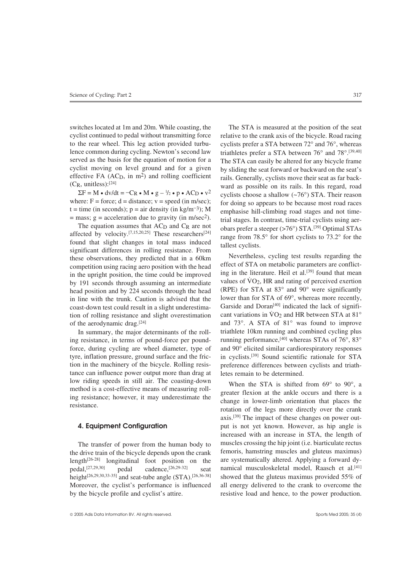lence common during cycling. Newton's second law served as the basis for the equation of motion for a

 $\Sigma F = M \cdot dv/dt = -C_R \cdot M \cdot g - \frac{1}{2} \cdot p \cdot AC_D \cdot v^2$ 

found that slight changes in total mass induced<br>significant differences in rolling resistance. From<br>these observations, they predicted that in a 60km<br>competition using racing aero position with the head<br>in the upright posi in the upright position, the time could be improved<br>by 191 seconds through assuming an intermediate values of  $\text{VO}_2$ , HR and rating of perceived exertion<br>head position and by 224 seconds through the head (RPE) for STA a head position and by 224 seconds through the head in line with the trunk. Caution is advised that the lower than for STA of  $69^\circ$ , whereas more recently, coast-down test could result in a slight underestima-<br>tion of rolling resistance and slight overestimation cant variations in  $\text{VO2}$  and HR between STA at 81<sup>o</sup> tion of rolling resistance and slight overestimation of the aerodynamic drag.  $[24]$  and 73°. A STA of 81° was found to improve

ing resistance, in terms of pound-force per pound- running performance,<sup>[40]</sup> whereas STAs of 76°, 83° tyre, inflation pressure, ground surface and the fric- in cyclists.[39] Sound scientific rationale for STA tion in the machinery of the bicycle. Rolling resis- preference differences between cyclists and triathtance can influence power output more than drag at letes remain to be determined.

the drive train of the bicycle depends upon the crank femoris, hamstring muscles and gluteus maximus)<br>length<sup>[26-28]</sup> longitudinal foot position on the are systematically altered. Applying a forward dylength<sup>[26-28]</sup> longitudinal foot position on the pedal,<sup>[27,29,30]</sup> pedal cadence,<sup>[26,29-32]</sup> seat pedal,<sup>[27,29,30]</sup> pedal cadence,<sup>[26,29-32]</sup> seat namical musculoskeletal model, Raasch et al.<sup>[41]</sup> height  $[26,29,30,33-35]$  and seat-tube angle (STA).<sup>[26,36-38]</sup> showed that the gluteus maximus provided 55% of Moreover, the cyclist's performance is influenced all energy delivered to the crank to overcome the by the bicycle profile and cyclist's attire. resistive load and hence, to the power production.

switches located at 1m and 20m. While coasting, the The STA is measured at the position of the seat cyclist continued to pedal without transmitting force relative to the crank axis of the bicycle. Road racing to the rear wheel. This leg action provided turbu- cyclists prefer a STA between 72° and 76°, whereas triathletes prefer a STA between  $76^{\circ}$  and  $78^{\circ}$ .<sup>[39,40]</sup> The STA can easily be altered for any bicycle frame cyclist moving on level ground and for a given by sliding the seat forward or backward on the seat's<br>effective FA (AC<sub>D</sub>, in m<sup>2</sup>) and rolling coefficient rails Generally cyclists move their seat as far backeffective FA (AC<sub>D</sub>, in m<sup>2</sup>) and rolling coefficient rails. Generally, cyclists move their seat as far back-<br>(C<sub>R</sub>, unitless):<sup>[24]</sup><br>conditional section of as possible on its rails. In this regard, road ward as possible on its rails. In this regard, road  $\Sigma F = M \cdot dv/dt = -C_R \cdot M \cdot g - \frac{1}{2} \cdot p \cdot A C_D \cdot v^2$  cyclists choose a shallow (~76°) STA. Their reason<br>where: F = force; d = distance; v = speed (in m/sec); for doing so appears to be because most road races where: F = force; d = distance; v = speed (in m/sec); for doing so appears to be because most road races t = time (in seconds); p = air density (in kg/m<sup>-3</sup>); M emphasise hill-climbing road stages and not timet = time (in seconds); p = air density (in kg/m<sup>-3</sup>); M<br>= mass; g = acceleration due to gravity (in m/sec<sup>2</sup>).<br>The equation assumes that AC<sub>D</sub> and C<sub>R</sub> are not<br>affected by velocity.<sup>[7,15,20,25]</sup> These researchers<sup>[24]</sup> m range from 78.5° for short cyclists to 73.2° for the

In summary, the major determinants of the roll- triathlete 10km running and combined cycling plus force, during cycling are wheel diameter, type of and 90° elicited similar cardiorespiratory responses

low riding speeds in still air. The coasting-down<br>method is a cost-effective means of measuring roll-<br>ing resistance; however, it may underestimate the<br>resistance.<br>measuring in lower-limb orientation that places the<br>resist axis.[39] The impact of these changes on power out-**4. Equipment Configuration put is not yet known. However, as hip angle is** increased with an increase in STA, the length of The transfer of power from the human body to muscles crossing the hip joint (i.e. biarticulate rectus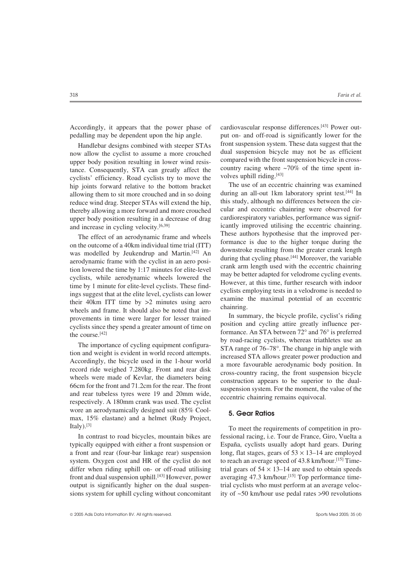now allow the cyclist to assume a more crouched dual suspension bicycle may not be as efficient<br>unner hody nosition resulting in lower wind resise compared with the front suspension bicycle in crossupper body position resulting in lower wind resis-<br>tance. Consequently,  $ST\Lambda$  can greatly affect the country racing where  $\sim 70\%$  of the time spent intance. Consequently, STA can greatly affect the country racing where  $\epsilon$  cyclists' afficiancy. Road cyclists try to move the volves uphill riding. [43] cyclists' efficiency. Road cyclists try to move the volves uphill riding.<sup>[43]</sup><br>hin joints forward relative to the bottom bracket The use of an eccentric chainring was examined hip joints forward relative to the bottom bracket The use of an eccentric chainring was examined<br>allowing them to sit more crouched and in so doing during an all-out 1km laboratory sprint test.<sup>[44]</sup> In allowing them to sit more crouched and in so doing during an all-out 1km laboratory sprint test.<sup>[44]</sup> In reduce wind drag Steeper STAs will extend the hin this study, although no differences between the cirreduce wind drag. Steeper STAs will extend the hip, this study, although no differences between the cir-<br>thereby allowing a more forward and more crouched cular and eccentric chainring were observed for thereby allowing a more forward and more crouched cular and eccentric chainring were observed for upper body position resulting in a decrease of drag cardiorespiratory variables, performance was signifupper body position resulting in a decrease of drag

aerodynamic frame with the cyclist in an aero position lowered the time by 1:17 minutes for elite-level<br>cyclists, while aerodynamic wheels lowered the<br>time by 1 minute for elite-level cyclists. These find-<br>ings suggest th

The importance of cycling equipment configura-<br>tion and weight is evident in world record attempts.<br>Accordingly, the bicycle used in the 1-hour world<br>a more favourable aerodynamic body position. In<br>record ride weighed 7.28 wore an aerodynamically designed suit (85% Cool-<br>max, 15% elastane) and a helmet (Rudy Project, **5. Gear Ratios** Italy).<sup>[3]</sup> To meet the requirements of competition in pro-

typically equipped with either a front suspension or España, cyclists usually adopt hard gears. During a front and rear (four-bar linkage rear) suspension long, flat stages, gears of  $53 \times 13$ –14 are employed system. Oxygen cost and HR of the cyclist do not to reach an average speed of 43.8 km/hour.<sup>[15]</sup> Timediffer when riding uphill on- or off-road utilising trial gears of  $54 \times 13$ –14 are used to obtain speeds front and dual suspension uphill.<sup>[43]</sup> However, power averaging 47.3 km/hour.<sup>[15]</sup> Top performance timeoutput is significantly higher on the dual suspen-<br>sions system for uphill cycling without concomitant ity of  $\sim$  50 km/hour use pedal rates >90 revolutions sions system for uphill cycling without concomitant

Accordingly, it appears that the power phase of cardiovascular response differences.<sup>[43]</sup> Power outpedalling may be dependent upon the hip angle. put on- and off-road is significantly lower for the Handlebar designs combined with steeper STAs front suspension system. These data suggest that the well allow the cyclist to assume a more crouched dual suspension bicycle may not be as efficient

and increase in cycling velocity.<sup>[6,39]</sup> icantly improved utilising the eccentric chainring.<br>
The effect of an aggregating frame and uthorle. These authors hypothesise that the improved per-The effect of an aerodynamic frame and wheels<br>on the outcome of a 40km individual time trial (ITT)<br>was modelled by Jeukendrup and Martin.<sup>[42]</sup> An<br>was modelled by Jeukendrup and Martin.<sup>[42]</sup> An<br>during that cycling phase.<sup></sup>

provements in time were larger for lesser trained<br>cyclists since they spend a greater amount of time on<br>the course.<sup>[42]</sup><br>hy road-racing cyclists, whereas triathletes use an

In contrast to road bicycles, mountain bikes are fessional racing, i.e. Tour de France, Giro, Vuelta a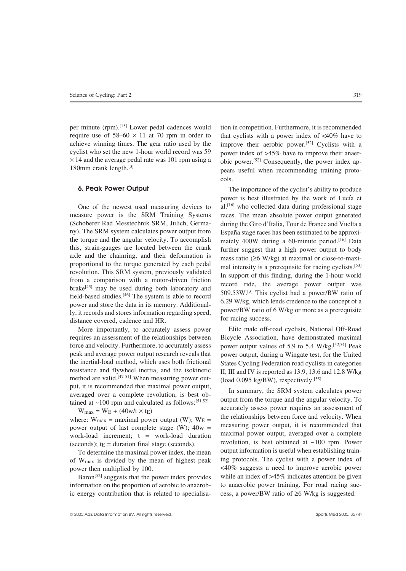revolution. This SRM system, previously validated<br>from a comparison with a motor-driven friction<br>brake<sup>[45]</sup> may be used during both laboratory and<br>field-based studies.<sup>[46]</sup> The system is able to record<br>power and store t

method are valid.<sup>[47-51]</sup> When measuring power out-<br>put, it is recommended that maximal power output,

work-load increment;  $t =$  work-load duration

of  $W_{\text{max}}$  is divided by the mean of highest peak

information on the proportion of aerobic to anaerob- to anaerobic power training. For road racing sucic energy contribution that is related to specialisa- cess, a power/BW ratio of ≥6 W/kg is suggested.

per minute (rpm).<sup>[15]</sup> Lower pedal cadences would tion in competition. Furthermore, it is recommended require use of  $58-60 \times 11$  at 70 rpm in order to that cyclists with a power index of  $\langle 40\%$  have to achieve winning times. The gear ratio used by the improve their aerobic power.<sup>[52]</sup> Cyclists with a cyclist who set the new 1-hour world record was 59 nower index of >45% have to improve their anaercyclist who set the new 1-hour world record was 59 power index of >45% have to improve their anaer-<br> $\times$  14 and the average pedal rate was 101 rpm using a objection power [52] Consequently, the nower index an- $\times$  14 and the average pedal rate was 101 rpm using a obic power.<sup>[52]</sup> Consequently, the power index ap-<br>180mm crank length.<sup>[3]</sup> pears useful when recommending training protocols.

**6. Peak Power Output** The importance of the cyclist's ability to produce power is best illustrated by the work of Lucía et One of the newest used measuring devices to  $\alpha$  al.<sup>[16]</sup> who collected data during professional stage measure power is the SRM Training Systems races. The mean absolute power output generated (Schoberer Rad Messtechnik SRM, Julich, Germa- during the Giro d'Italia, Tour de France and Vuelta a ny). The SRM system calculates power output from España stage races has been estimated to be approxi-<br>the torque and the angular velocity. To accomplish mately 400W during a 60-minute period [16] Data the torque and the angular velocity. To accomplish mately 400W during a 60-minute period.<sup>[16]</sup> Data this, strain-gauges are located between the crank further suggest that a high power output to body this, strain-gauges are located between the crank<br>axle and the chainring, and their deformation is<br>proportional to the torque generated by each pedal<br>revolution. This SRM system, previously validated<br>revolution. This SRM

More importantly, to accurately assess power Elite male off-road cyclists, National Off-Road requires an assessment of the relationships between Bicycle Association, have demonstrated maximal force and velocity. Furthermore, to accurately assess power output values of 5.9 to 5.4 W/kg.<sup>[52,54]</sup> Peak peak and average power output research reveals that power output, during a Wingate test, for the United the inertial-load method, which uses both frictional States Cycling Federation road cyclists in categories resistance and flywheel inertia, and the isokinetic  $\pi$  III and IV is reported as 13.9, 13.6 and 12.8 W/kg II, III and IV is reported as 13.9, 13.6 and 12.8 W/kg

put, it is recommended that maximal power output,<br>averaged over a complete revolution, is best ob-<br>tained at ~100 rpm and calculated as follows:<sup>[51,52]</sup> output from the torque and the angular velocity. To<br>accurately asse  $W_{\text{max}} = W_E + (40w/t \times t_E)$ <br>where:  $W_{\text{max}} =$  maximal power output (W);  $W_E =$ <br>power output of last complete stage (W);  $40w =$ <br>measuring power output, it is recommended that<br>work-load increment:  $t =$  work-load duration<br>work-lo (seconds);  $t_E$  = duration final stage (seconds). revolution, is best obtained at ~100 rpm. Power To determine the maximal power index, the mean output information is useful when establishing train-<br>W<sub>max</sub> is divided by the mean of highest peak ing protocols. The cyclist with a power index of power then multiplied by 100. <40% suggests a need to improve aerobic power Baron<sup>[52]</sup> suggests that the power index provides while an index of  $>45\%$  indicates attention be given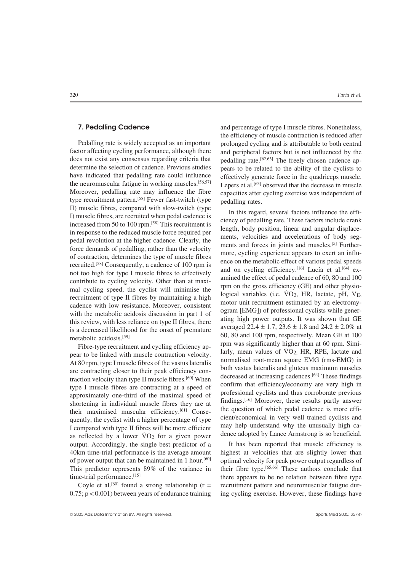Pedalling rate is widely accepted as an important prolonged cycling and is attributable to both central factor affecting cycling performance, although there and peripheral factors but is not influenced by the factor affecting cycling performance, although there and peripheral factors but is not influenced by the does not exist any consensus regarding criteria that pedalling rate  $[62,63]$ . The freely chosen cadence andoes not exist any consensus regarding criteria that pedalling rate.<sup>[62,63]</sup> The freely chosen cadence ap-<br>determine the selection of cadence. Previous studies pears to be related to the ability of the cyclists to have indicated that pedalling rate could influence effectively generate force in the quadriceps muscle. the neuromuscular fatigue in working muscles.<sup>[56,57]</sup> Lepers et al.<sup>[63]</sup> observed that the decrease in muscle Moreover, pedalling rate may influence the fibre capacities after cycling exercise was independent of type recruitment pattern.<sup>[58]</sup> Fewer fast-twitch (type pedalling rates.<br>II) muscle fibres, compared with slow-twitch (type II) muscle fibres, compared with slow-twitch (type<br>
In this regard, several factors influence the effi-<br>
I) muscle fibres, are recutied when pedal cadnete is<br>
increased from 50 to 100 rpm.<sup>1581</sup> This recruitment is<br>
incre

type I muscle fibres are contracting at a speed of<br>approximately one-third of the maximal speed of<br>shortening in individual muscle fibres they are at<br>their maximised muscular efficiency.<sup>[61]</sup> Conse-<br>the question of which their maximised muscular efficiency.<sup>[61]</sup> Conse-<br>quently, the cyclist with a higher percentage of type<br>I compared with type II fibres will be more efficient<br>as reflected by a lower VO<sub>2</sub> for a given power<br>dence adopted by output. Accordingly, the single best predictor of a It has been reported that muscle efficiency is 40km time-trial performance is the average amount highest at velocities that are slightly lower than of power output that can be maintained in 1 hour.<sup>[60]</sup> optimal velocity for peak power output regardless of This predictor represents 89% of the variance in their fibre type.[65,66] These authors conclude that time-trial performance.<sup>[15]</sup> there appears to be no relation between fibre type

**7. Pedalling Cadence** and percentage of type I muscle fibres. Nonetheless, the efficiency of muscle contraction is reduced after pears to be related to the ability of the cyclists to capacities after cycling exercise was independent of

Fibre-type recruitment and cycling efficiency ap-<br>pear to be linked with muscle contraction velocity.<br>At 80 rpm, type I muscle fibres of the vastus lateralis<br>are contraction colocity than type II muscle fibres.<sup>[60]</sup> When

Coyle et al.<sup> $[60]$ </sup> found a strong relationship ( $r =$  recruitment pattern and neuromuscular fatigue dur- $0.75$ ;  $p < 0.001$ ) between years of endurance training ing cycling exercise. However, these findings have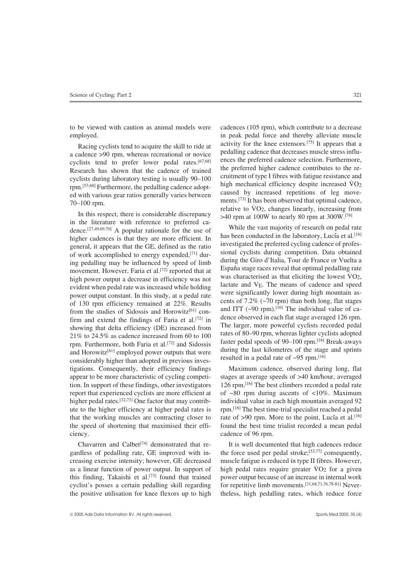employed. in peak pedal force and thereby alleviate muscle

dence.<sup>[27,49,69,70]</sup> A popular rationale for the use of While the vast majority of research on pedal rate higher cadences is that they are more efficient. In has been conducted in the laboratory, Lucía et al.<sup>[16]</sup> general, it appears that the GE, defined as the ratio<br>of work accomplished to energy expended,<sup>[71]</sup> dur-<br>ing podelling may be influenced by greed of limb<br>during the Giro d'Italia, Tour de France or Vuelta a ing pedalling may be influenced by speed of limb<br>
movement. However, Faria et al.<sup>[72]</sup> reported that at<br>
high power output a decrease in efficiency was not<br>
evident when pedal rate was increased while holding<br>
power outp from the studies of Sidossis and Horowitz<sup>[61]</sup> con-<br>firm and extend the findings of Faria et al.<sup>[72]</sup> in<br>change observed in each flat stage averaged 126 rpm.<br>change that delta efficiency (DE) increased from The larger, showing that delta efficiency (DE) increased from  $\frac{1 \text{ he larger, more powerful cyclist recorded pedal}}{\text{rates of 80–90 rpm, whereas lighter cyclist adopted}}$ Faster pedal speeds of 90–100 rpm.<sup>[16]</sup> Break-aways rpm. Furthermore, both Faria et al.<sup>[72]</sup> and Sidossis during the last kilometres of the stage and sprints and Horowitz<sup>[61]</sup> employed power outputs that were during the last kilometres of the stage<br>considerably higher than adopted in previous invesceptible in a pedal rate of ~95 rpm.<sup>[16]</sup> considerably higher than adopted in previous investigations. Consequently, their efficiency findings Maximum cadence, observed during long, flat appear to be more characteristic of cycling competi-<br>stages at average speeds of >40 km/hour, averaged tion. In support of these findings, other investigators  $126$  rpm.<sup>[16]</sup> The best climbers recorded a pedal rate report that experienced cyclists are more efficient at of  $\sim 80$  rpm during ascents of  $\lt 10\%$ . Maximum higher pedal rates.<sup>[32,73]</sup> One factor that may contrib- individual value in each high mountain averaged 92 ute to the higher efficiency at higher pedal rates is rpm.<sup>[16]</sup> The best time-trial specialist reached a pedal that the working muscles are contracting closer to rate of  $>90$  rpm. More to the point, Lucía et al.<sup>[16]</sup> the speed of shortening that maximised their effi- found the best time trialist recorded a mean pedal ciency. cadence of 96 rpm.

cyclist's posses a certain pedalling skill regarding the positive utilisation for knee flexors up to high theless, high pedalling rates, which reduce force

to be viewed with caution as animal models were cadences (105 rpm), which contribute to a decrease Racing cyclists tend to acquire the skill to ride at activity for the knee extensors.<sup>[75]</sup> It appears that a a cadence >90 rpm, whereas recreational or novice pedalling cadence that decreases muscle stress influ-<br>cyclist Research has shown that the cadence of trained the preferred higher cadence contributes to the re-<br>cyclists during laboratory testing is usually 00, 100. cyclists during laboratory testing is usually 90–100<br>rpm.<sup>[53,68]</sup> Furthermore, the pedalling cadence adopt-<br>ed with various gear ratios generally varies between<br>rents.<sup>[73]</sup> It has been observed that optimal cadence,<br>70, To-100 rpm.<br>In this respect, there is considerable discrepancy<br>in the literature with reference to preferred ca-<br>in the literature with reference to preferred ca-

Chavarren and Calbet<sup>[74]</sup> demonstrated that re-<br>It is well documented that high cadences reduce gardless of pedalling rate, GE improved with in- the force used per pedal stroke; $[53,77]$  consequently, creasing exercise intensity; however, GE decreased muscle fatigue is reduced in type II fibres. However, as a linear function of power output. In support of high pedal rates require greater  $\dot{V}O_2$  for a given this finding, Takaishi et al.<sup>[73]</sup> found that trained power output because of an increase in internal work cyclist's posses a certain pedalling skill regarding for repetitive limb movements.<sup>[31,68,71,76,78-81]</sup> Never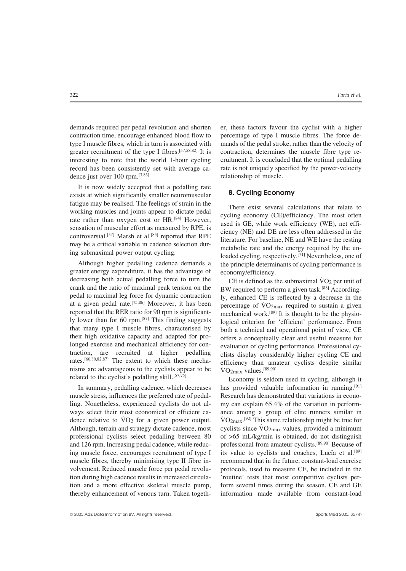demands required per pedal revolution and shorten er, these factors favour the cyclist with a higher contraction time, encourage enhanced blood flow to percentage of type I muscle fibres. The force detype I muscle fibres, which in turn is associated with mands of the pedal stroke, rather than the velocity of greater recruitment of the type I fibres. [57,58,82] It is contraction, determines the muscle fibre type reinteresting to note that the world 1-hour cycling cruitment. It is concluded that the optimal pedalling record has been consistently set with average ca- rate is not uniquely specified by the power-velocity dence just over 100 rpm.<sup>[3,83]</sup> relationship of muscle.

It is now widely accepted that a pedalling rate<br>exists at which significantly smaller neuromuscular<br>**8. Cycling Economy** fatigue may be realised. The feelings of strain in the<br>working muscles and joints appear to dictate pedal<br>rate rather than oxygen cost or HR.<sup>[84]</sup> However,<br>sensation of muscular effort as measured by RPE, is<br>controversial

greater energy expenditure, it has the advantage of economy/efficiency.<br>decreasing both actual pedalling force to turn the  $C$ E is defined as t decreasing both actual pedalling force to turn the CE is defined as the submaximal  $\rm{VO}_2$  per unit of crank and the ratio of maximal peak tension on the RW required to perform a given task [88] Accordingcrank and the ratio of maximal peak tension on the BW required to perform a given task.<sup>[88]</sup> According-<br>pedal to maximal leg force for dynamic contraction by enhanced CE is reflected by a decrease in the reported that the RER ratio for 90 rpm is significant-<br>ly lower than for 60 rpm.<sup>[87]</sup> This finding suggests logical criterion for 'efficient' performance. From longed exercise and mechanical efficiency for con-<br>traction, are recruited at higher pedalling clists display considerably higher cycling CE and nisms are advantageous to the cyclists appear to be  $\sqrt{O_{2\text{max}}}$  values.<sup>[89,90]</sup> related to the cyclist's pedalling skill.<sup>[57,75]</sup>

muscle stress, influences the preferred rate of pedal- Research has demonstrated that variations in econoling. Nonetheless, experienced cyclists do not al- my can explain 65.4% of the variation in performdence relative to  $\dot{V}O_2$  for a given power output. muscle fibres, thereby minimising type II fibre in-<br>recommend that in the future, constant-load exercise volvement. Reduced muscle force per pedal revolu- protocols, used to measure CE, be included in the tion during high cadence results in increased circula- 'routine' tests that most competitive cyclists perthereby enhancement of venous turn. Taken togeth- information made available from constant-load

Although higher pedalling cadence demands a the principle determinants of cycling performance is

pedal to maximal leg force for dynamic contraction ly, enhanced CE is reflected by a decrease in the at a given pedal rate.<sup>[75,86]</sup> Moreover, it has been percentage of  $\dot{N}O_{2mn}$  required to sustain a given at a given pedal rate.<sup>[75,86]</sup> Moreover, it has been percentage of  $\rm{VO}_{2max}$  required to sustain a given reported that the RER ratio for 90 rpm is significant-<br>mechanical work <sup>[89]</sup> It is thought to be the physioly lower than for 60 rpm.<sup>[87]</sup> This finding suggests logical criterion for 'efficient' performance. From that many type I muscle fibres, characterised by both a technical and operational point of view CE that many type I muscle fibres, characterised by both a technical and operational point of view, CE their high oxidative capacity and adapted for pro-<br>their high oxidative capacity and adapted for protheir high oxidative capacity and adapted for pro-<br>longed exercise and mechanical efficiency for con-<br>evaluation of evaluation performance. Professional cytraction, are recruited at higher pedalling clists display considerably higher cycling CE and rates.<sup>[60,80,82,87]</sup> The extent to which these mecha-<br>efficiency than amateur cyclists despite similar efficiency than amateur cyclists despite similar

Economy is seldom used in cycling, although it In summary, pedalling cadence, which decreases has provided valuable information in running.<sup>[91]</sup> ways select their most economical or efficient ca- ance among a group of elite runners similar in  $\rm \dot{VO}$ <sub>2max</sub>.<sup>[92]</sup> This same relationship might be true for Although, terrain and strategy dictate cadence, most cyclists since  $\overline{VO2}$ max values, provided a minimum professional cyclists select pedalling between 80 of >65 mL/kg/min is obtained, do not distinguish of  $>65$  mL/kg/min is obtained, do not distinguish and 126 rpm. Increasing pedal cadence, while reduc- professional from amateur cyclists.<sup>[89,90]</sup> Because of ing muscle force, encourages recruitment of type I its value to cyclists and coaches, Lucía et al.<sup>[89]</sup> tion and a more effective skeletal muscle pump, form several times during the season. CE and GE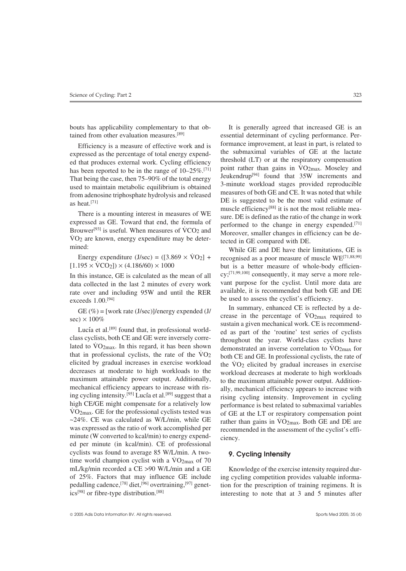Brouwer<sup>our</sup> is useful. When measures of VCO<sub>2</sub> and<br>VO<sub>2</sub> are known, energy expenditure may be deter-<br>mined:<br>While GE and DE have their limitations, GE is

data collected in the last 2 minutes of every work vant purpose for the cyclist. Until more data are<br>rate over and including 95W and until the RER available, it is recommended that both GE and DE rate over and including 95W and until the RER exceeds 1.00.<sup>[94]</sup> be used to assess the cyclist's efficiency.<br>  $\frac{1}{2}$  EUCE 1.00.<sup>[94]</sup> be used to assess the cyclist's efficiency.

that in professional cyclists, the rate of the  $\rm VO_2$  demonstrated an inverse correlation to  $\rm VO_{2max}$  for that in professional cyclists, the rate of the  $\rm VO_2$  both CE and GE. In professional cyclists, the rate of e elicited by gradual increases in exercise workload the  $VO<sub>2</sub>$  elicited by gradual increases in exercise decreases at moderate to high workloads to the workload decreases at moderate to high workloads decreases at moderate to high workloads to the workload decreases at moderate to high workloads<br>maximum attainable power output. Additionally, to the maximum attainable power output. Additionmechanical efficiency appears to increase with ris-<br>ally, mechanical efficiency appears to increase with ing cycling intensity.<sup>[95]</sup> Lucía et al.<sup>[89]</sup> suggest that a rising cycling intensity. Improvement in cycling high CE/GE might compensate for a relatively low performance is best related to submaximal variables VO<sub>2max</sub>. GE for the professional cyclists tested was of GE at the LT or respiratory compensation point  $\sim$ 24%. CE was calculated as W/L/min, while GE rather than gains in VO<sub>2max</sub>. Both GE and DE are ~24%. CE was calculated as W/L/min, while GE rather than gains in  $\rm{VO}_{2max}$ . Both GE and DE are was expressed as the ratio of work accomplished per recommended in the assessment of the cyclist's effiminute (W converted to kcal/min) to energy expend-<br>ciency. ed per minute (in kcal/min). CE of professional cyclists was found to average 85 W/L/min. A two-<br>time world champion cyclist with a  $\overline{V}O_{2max}$  of 70 mL/kg/min recorded a CE >90 W/L/min and a GE Knowledge of the exercise intensity required durof 25%. Factors that may influence GE include ing cycling competition provides valuable informapedalling cadence,<sup>[78]</sup> diet,<sup>[96]</sup> overtraining,<sup>[97]</sup> genet- tion for the prescription of training regimens. It is ics<sup>[98]</sup> or fibre-type distribution.<sup>[88]</sup> interesting to note that at 3 and 5 minutes after

bouts has applicability complementary to that ob- It is generally agreed that increased GE is an tained from other evaluation measures. $[89]$  essential determinant of cycling performance. Per-Efficiency is a measure of effective work and is<br>expressed as the percentage of total energy expend-<br>ed that produces external work. Cycling efficiency<br>has been reported to be in the range of  $10-25\%$ .<sup>[71]</sup> point rather That being the case, then 75–90% of the total energy<br>state of the total energy<br>discount of the total energy<br>discount of 3-minute workload stages provided reproducible<br>from adenosine triphosphate hydrolysis and released<br>as muscle efficiency<sup>[88]</sup> it is not the most reliable mea-There is a mounting interest in measures of WE sure. DE is defined as the ratio of the change in work expressed as GE. Toward that end, the formula of performed to the change in energy expended.<sup>[71]</sup> Brouwer<sup>[93]</sup> is use

Energy expenditure (J/sec) = ([3.869  $\times$  VO<sub>2</sub>] + recognised as a poor measure of muscle WE<sup>[71,88,99]</sup>  $[1.195 \times \text{VCO}_2] \times (4.186/60) \times 1000$  but is a better measure of whole-body efficien-In this instance, GE is calculated as the mean of all cy;<sup>[71,99,100]</sup> consequently, it may serve a more rele-<br>data collected in the last 2 minutes of every work vant purpose for the cyclist. Until more data are

GE (%) = [work rate (J/sec)]/energy expended (J/<br>sec) × 100%<br>Lucía et al.<sup>[89]</sup> found that, in professional world-<br>class cyclists, both CE and GE were inversely corre-<br>lated to VO<sub>2max</sub>. In this regard, it has been shown<br> to the maximum attainable power output. Additionperformance is best related to submaximal variables recommended in the assessment of the cyclist's effi-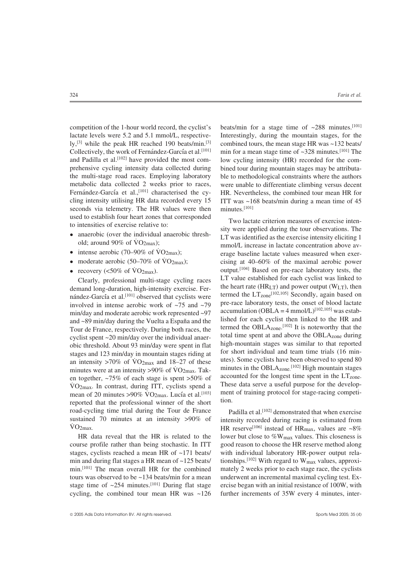lactate levels were 5.2 and 5.1 mmol/L, respective- Interestingly, during the mountain stages, for the ly,<sup>[3]</sup> while the peak HR reached 190 beats/min.<sup>[3]</sup> combined tours, the mean stage HR was ~132 beats/ Collectively, the work of Fernández-García et al.<sup>[101]</sup> min for a mean stage time of  $\sim$ 328 minutes.<sup>[101]</sup> The and Padilla et al.<sup>[102]</sup> have provided the most com- low cycling intensity (HR) recorded for the comprehensive cycling intensity data collected during bined tour during mountain stages may be attributathe multi-stage road races. Employing laboratory ble to methodological constraints where the authors metabolic data collected 2 weeks prior to races, were unable to differentiate climbing versus decent Fernández-García et al.,<sup>[101]</sup> characterised the cy-  $\overline{HR}$ . Nevertheless, the combined tour mean HR for cling intensity utilising HR data recorded every 15 ITT was ~168 beats/min during a mean time of 45 seconds via telemetry. The HR values were then minutes.<sup>[101]</sup> used to establish four heart zones that corresponded

- 
- 
- 
- 

demand long-duration, high-intensity exercise. Fer-<br>nández-García et al.<sup>[101]</sup> observed that cyclists were<br>involved in intense aerobic work of ~75 and ~79<br>min/day and moderate aerobic work represented ...07<br>min/day and m min/day and moderate aerobic work represented ~97 accumulation (OBLA = 4 mmol/L)<sup>[102,105]</sup> was estab-<br>and ~89 min/day during the Vuelta a España and the lished for each cyclist then linked to the HR and and ~89 min/day during the Vuelta a España and the state of each cyclist then linked to the HR and Tour de France, respectively. During both races, the termed the OBLA<sub>zone</sub>.<sup>[102]</sup> It is noteworthy that the cyclist spent Tour de France, respectively. During both races, the<br>cyclist spent ~20 min/day over the individual anaer-<br>obic threshold. About 93 min/day were spent in flat<br>stages and 123 min/day in mountain stages riding at for short i an intensity >70% of  $\sqrt{O_{2max}}$  and 18–27 of these the OBLAzone.<sup>[102]</sup> High mountain stages minutes were at an intensity >90% of  $\sqrt{O_{2max}}$ . Tak-<br>en together ~75% of each stage is spent >50% of accounted for the longest en together, ~75% of each stage is spent >50% of accounted for the longest time spent in the LTzone.<br>VO<sub>nner</sub> In contrast during ITT cyclists spend a These data serve a useful purpose for the develop- $\sqrt{VQ_{2\text{max}}}$ . In contrast, during ITT, cyclists spend a These data serve a useful purpose for the develop-<br>mean of 20 minutes  $> 90\%$   $\sqrt{Q_{2\text{max}}}$ . Lucia et al.[103] ment of training protocol for stage-racing competimean of 20 minutes >90%  $\text{VO2max}$ . Lucía et al.<sup>[103]</sup> ment reported that the professional winner of the short road-cycling time trial during the Tour de France Padilla et al.<sup>[102]</sup> demonstrated that when exercise sustained 70 minutes at an intensity >90% of intensity recorded during racing is estimated from sustained 70 minutes at an intensity >90% of intensity recorded during racing is estimated from<br>  $\frac{\text{V}_\text{O}}{\text{W}_\text{max}}$  HR reserve<sup>[106]</sup> instead of HR<sub>max</sub> values are ~8%

course profile rather than being stochastic. In ITT good reason to choose the HR reserve method along stages, cyclists reached a mean HR of ~171 beats/ with individual laboratory HR-power output relamin and during flat stages a HR mean of ~125 beats/ tionships.<sup>[102]</sup> With regard to W<sub>max</sub> values, approxi-<br>min.<sup>[101]</sup> The mean overall HR for the combined mately 2 weeks prior to each stage race, the cyclists tours was observed to be ~134 beats/min for a mean underwent an incremental maximal cycling test. Exstage time of  $\sim$ 254 minutes.<sup>[101]</sup> During flat stage ercise began with an initial resistance of 100W, with cycling, the combined tour mean HR was  $\sim$ 126 further increments of 35W every 4 minutes, inter-

competition of the 1-hour world record, the cyclist's beats/min for a stage time of  $\sim$ 288 minutes.<sup>[101]</sup>

used to establish four heart zones that corresponded<br>to intensities of exercise relative to:<br>anaerobic (over the individual anaerobic thresh-<br>left was identified as the exercise intensity eliciting 1<br>old; around 90% of VO • intense aerobic (70–90% of VO<sub>2max</sub>); erage baseline lactate values measured when exer-<br>• intense aerobic (70–90% of VO<sub>2max</sub>); erage baseline lactate values measured when exer-• moderate aerobic (50–70% of  $\rm\dot{V}O_{2max}$ ); cising at 40–60% of the maximal aerobic power • recovery  $\langle 50\% \text{ of } \text{VO}_{2\text{max}}\rangle$ . output.<sup>[104]</sup> Based on pre-race laboratory tests, the Clearly professional multi-stage cycling races. LT value established for each cyclist was linked to Clearly, professional multi-stage cycling races LI value established for each cyclist was linked to reach cyclist was linked to the heart rate  $(HRLT)$  and power output  $(WLT)$ , then

HR reserve<sup>[106]</sup> instead of HR<sub>max</sub>, values are ~8% HR data reveal that the HR is related to the lower but close to  $\%W_{max}$  values. This closeness is mately 2 weeks prior to each stage race, the cyclists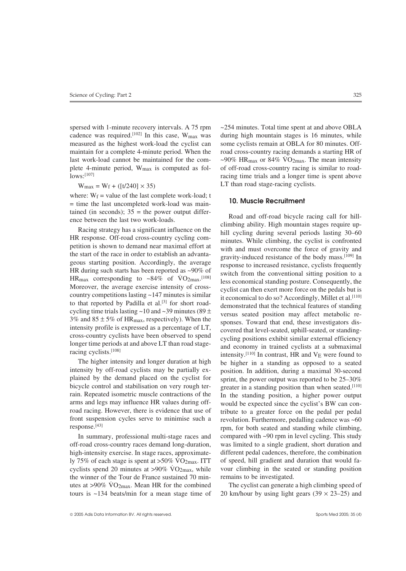where:  $W_f$  = value of the last complete work-load; t<br>= time the last uncompleted work-load was main-<br>**10. Muscle Recruitment** 

geous starting position. Accordingly, the average<br>HR during such starts has been reported as ~90% of<br>HR<sub>max</sub> corresponding to ~84% of  $\sqrt{O_{2max}}$ .<sup>[108]</sup> switch from the conventional sitting position to a<br>less economical s  $M_{\text{max}}$  corresponding to  $\sim 64\%$  of  $VQ_{\text{max}}$ .<br>
Moreover, the average exercise intensity of cross-<br>
country competitions lasting ~147 minutes is similar<br>
to that reported by Padilla et al.<sup>[3]</sup> for short road-<br>
demon to that reported by Padilla et al.<sup>[3]</sup> for short road-<br>cycling time trials lasting ~10 and ~39 minutes (89  $\pm$ <br>3% and 85  $\pm$  5% of HR<sub>max</sub>, respectively). When the<br>intensity profile is expressed as a percentage of LT,<br>

intensity by off-road cyclists may be partially ex- position. In addition, during a maximal 30-second plained by the demand placed on the cyclist for sprint, the power output was reported to be 25–30% bicycle control and stabilisation on very rough ter-<br>greater in a standing position than when seated.<sup>[110]</sup> bicycle control and stabilisation on very rough ter-<br>
rain. Repeated isometric muscle contractions of the In the standing position, a higher power output rain. Repeated isometric muscle contractions of the In the standing position, a higher power output arms and legs may influence HR values during off-<br>would be expected since the cyclist's BW can conarms and legs may influence HR values during off-<br>
road racing. However, there is evidence that use of tribute to a greater force on the pedal per pedal front suspension cycles serve to minimise such a revolution. Furthermore, pedalling cadence was  $\sim$  60 response.<sup>[43]</sup>

off-road cross-country races demand long-duration, was limited to a single gradient, short duration and high-intensity exercise. In stage races, approximate-<br>different pedal cadences, therefore, the combination ly 75% of each stage is spent at  $>50\%$  VO $_{2\text{max}}$ . ITT of speed, hill gradient and duration that would facyclists spend 20 minutes at  $>90\%$  VO<sub>2max</sub>, while vour climbing in the seated or standing position the winner of the Tour de France sustained 70 min- remains to be investigated. utes at >90%  $\rm\dot{V}O_{2max}$ . Mean HR for the combined The cyclist can generate a high climbing speed of tours is  $\sim$ 134 beats/min for a mean stage time of 20 km/hour by using light gears (39  $\times$  23–25) and

spersed with 1-minute recovery intervals. A 75 rpm  $\sim$  254 minutes. Total time spent at and above OBLA cadence was required.<sup>[102]</sup> In this case, W<sub>max</sub> was during high mountain stages is 16 minutes, while measured as the highest work-load the cyclist can some cyclists remain at OBLA for 80 minutes. Offmaintain for a complete 4-minute period. When the road cross-country racing demands a starting HR of last work-load cannot be maintained for the com-  $\sim 90\%$  HR<sub>max</sub> or 84% VO<sub>2max</sub>. The mean intensity plete 4-minute period, W<sub>max</sub> is computed as fol-<br>racing time trials and a longer time is spent above<br>prover time is spent above racing time trials and a longer time is spent above  $W_{\text{max}} = W_f + ([t/240] \times 35)$  LT than road stage-racing cyclists.

tained (in seconds);  $35 =$  the power output differ-<br>ence between the last two work-loads.<br>Racing strategy has a significant influence on the<br>HR response. Off-road cross-country cycling com-<br>petition is shown to demand nea intensity.<sup>[110]</sup> In contrast, HR and V<sub>E</sub> were found to The higher intensity and longer duration at high be higher in a standing as opposed to a seated tribute to a greater force on the pedal per pedal rpm, for both seated and standing while climbing, In summary, professional multi-stage races and compared with ~90 rpm in level cycling. This study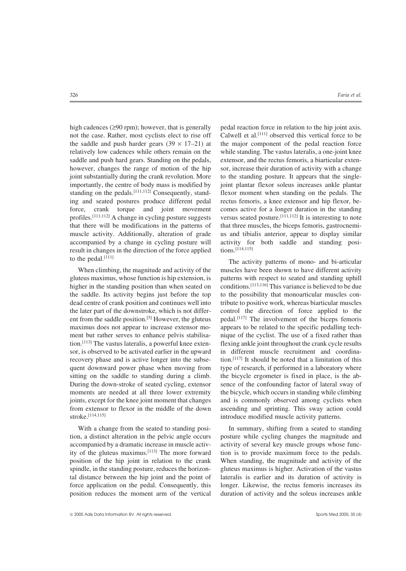not the case. Rather, most cyclists elect to rise off Calwell et al.<sup>[111]</sup> observed this vertical force to be the saddle and push harder gears  $(39 \times 17-21)$  at the major component of the pedal reaction force relatively low cadences while others remain on the while standing. The vastus lateralis, a one-joint knee saddle and push hard gears. Standing on the pedals, extensor, and the rectus femoris, a biarticular extenhowever, changes the range of motion of the hip sor, increase their duration of activity with a change joint substantially during the crank revolution. More to the standing posture. It appears that the singleimportantly, the centre of body mass is modified by joint plantar flexor soleus increases ankle plantar standing on the pedals.<sup>[111,112]</sup> Consequently, stand-<br>flexor moment when standing on the pedals. The ing and seated postures produce different pedal rectus femoris, a knee extensor and hip flexor, beforce, crank torque and joint movement comes active for a longer duration in the standing profiles.<sup>[111,112]</sup> A change in cycling posture suggests versus seated posture.<sup>[111,112]</sup> It is interesting to note profiles.<sup>[111,112]</sup> A change in cycling posture suggests that there will be modifications in the patterns of that three muscles, the biceps femoris, gastrocnemimuscle activity. Additionally, alteration of grade us and tibialis anterior, appear to display similar accompanied by a change in cycling posture will activity for both saddle and standing posiresult in changes in the direction of the force applied tions.  $[114, 115]$ to the pedal.<sup>[111]</sup>

tion, a distinct alteration in the pelvic angle occurs posture while cycling changes the magnitude and accompanied by a dramatic increase in muscle activ-<br>activity of several key muscle groups whose func-

high cadences (≥90 rpm); however, that is generally pedal reaction force in relation to the hip joint axis.

The activity patterns of mono- and bi-articular When climbing, the magnitude and activity of the muscles have been shown to have different activity gluteus maximus, whose function is hip extension, is patterns with respect to seated and standing uphill higher in the standing position than when seated on conditions.<sup>[113,116]</sup> This variance is believed to be due the saddle. Its activity begins just before the top to the possibility that monoarticular muscles condead centre of crank position and continues well into tribute to positive work, whereas biarticular muscles the later part of the downstroke, which is not differ- control the direction of force applied to the ent from the saddle position.<sup>[5]</sup> However, the gluteus pedal.<sup>[117]</sup> The involvement of the biceps femoris maximus does not appear to increase extensor mo- appears to be related to the specific pedalling techment but rather serves to enhance pelvis stabilisa-<br>ique of the cyclist. The use of a fixed rather than tion.[113] The vastus lateralis, a powerful knee exten- flexing ankle joint throughout the crank cycle results sor, is observed to be activated earlier in the upward in different muscle recruitment and coordinarecovery phase and is active longer into the subse- $\frac{[117]}{]}$  It should be noted that a limitation of this quent downward power phase when moving from type of research, if performed in a laboratory where sitting on the saddle to standing during a climb. the bicycle ergometer is fixed in place, is the ab-During the down-stroke of seated cycling, extensor sence of the confounding factor of lateral sway of moments are needed at all three lower extremity the bicycle, which occurs in standing while climbing joints, except for the knee joint moment that changes and is commonly observed among cyclists when from extensor to flexor in the middle of the down ascending and sprinting. This sway action could<br>introduce modified muscle activity patterns introduce modified muscle activity patterns.

With a change from the seated to standing posi-<br>In summary, shifting from a seated to standing ity of the gluteus maximus.[113] The more forward tion is to provide maximum force to the pedals. position of the hip joint in relation to the crank When standing, the magnitude and activity of the spindle, in the standing posture, reduces the horizon- gluteus maximus is higher. Activation of the vastus tal distance between the hip joint and the point of lateralis is earlier and its duration of activity is force application on the pedal. Consequently, this longer. Likewise, the rectus femoris increases its position reduces the moment arm of the vertical duration of activity and the soleus increases ankle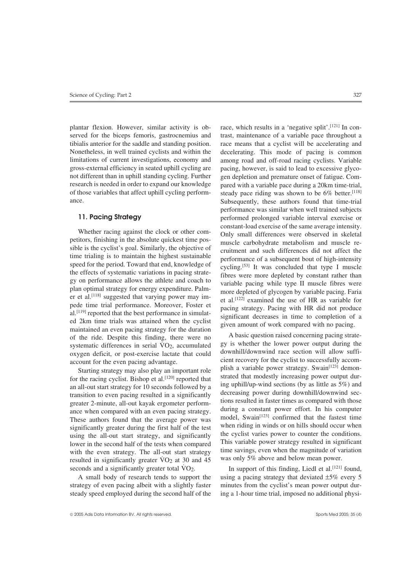served for the biceps femoris, gastrocnemius and trast, maintenance of a variable pace throughout a tibialis anterior for the saddle and standing position. race means that a cyclist will be accelerating and Nonetheless, in well trained cyclists and within the decelerating. This mode of pacing is common limitations of current investigations, economy and among road and off-road racing cyclists. Variable gross-external efficiency in seated uphill cycling are pacing, however, is said to lead to excessive glyconot different than in uphill standing cycling. Further gen depletion and premature onset of fatigue. Com-<br>research is needed in order to expand our knowledge pared with a variable pace during a 20km time-trial. research is needed in order to expand our knowledge pared with a variable pace during a 20km time-trial, of those variables that affect uphill cycling perform-<br>steady pace riding was shown to be 6% better.<sup>[118]</sup> ance. Subsequently, these authors found that time-trial

time trialing is to maintain the highest sustainable<br>speed for the period. Toward that end, knowledge of<br>the effects of systematic variations in pacing strate-<br>gy on performance allows the athlete and coach to<br>plan optimal pede time trial performance. Moreover, Foster et<br>al.<sup>[119]</sup> reported that the best performance in simulat-<br>ed 2km time trials was attained when the cyclist<br>maintained an even pacing strategy for the duration<br>of the ride. D

with the even strategy. The all-out start strategy time savings, even when the magnitude of variation resulted in significantly greater  $\dot{X}_0$  at 30 and 45 was only 5% above and below mean power. resulted in significantly greater  $VO<sub>2</sub>$  at 30 and 45 seconds and a significantly greater total  $\overline{VQ_2}$ . In support of this finding, Liedl et al.<sup>[121]</sup> found,

plantar flexion. However, similar activity is ob- race, which results in a 'negative split'.<sup>[121]</sup> In consteady pace riding was shown to be  $6\%$  better.<sup>[118]</sup> performance was similar when well trained subjects **11. Pacing Strategy performed prolonged variable interval exercise or** Whether racing against the clock or other com-<br>petitors, finishing in the absolute quickest time pos-<br>sible is the cyclist's goal. Similarly, the objective of<br>time trialing is to maintain the highest sustainable<br>performanc

downhill/downwind race section will allow suffi-<br>account for the even pacing advantage.<br>Starting strategy may also play an important role plish a variable power strategy. Swain<sup>[123]</sup> demon-Starting strategy may also play an important role<br>for the racing cyclist. Bishop et al.<sup>[120]</sup> reported that<br>an all-out start strategy for 10 seconds followed by a<br>an important of the racing cyclist. Bishop et al.<sup>[120]</sup> r

A small body of research tends to support the using a pacing strategy that deviated ±5% every 5 strategy of even pacing albeit with a slightly faster minutes from the cyclist's mean power output dursteady speed employed during the second half of the ing a 1-hour time trial, imposed no additional physi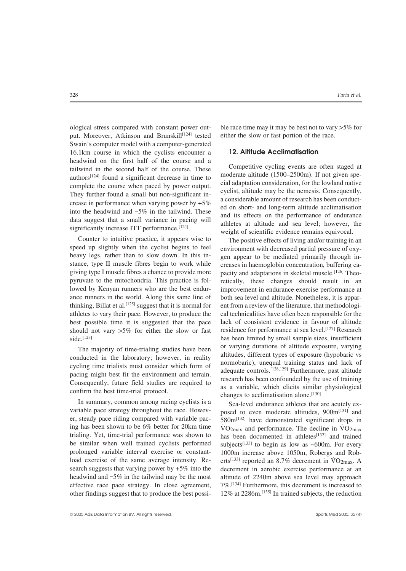put. Moreover, Atkinson and Brunskill<sup>[124]</sup> tested either the slow or fast portion of the race. Swain's computer model with a computer-generated 16.1km course in which the cyclists encounter a **12. Altitude Acclimatisation** headwind on the first half of the course and a tailwind in the second half of the course. These  $\frac{\text{Competitive}}{\text{moderate}}$  at tailwind in the second half of the course. These  $\frac{\text{Competitive}}{\text{moderate}}$  at the course often staged at the course of the course of the course of the course of authors<sup>[124]</sup> found a significant decrease in time to<br>complete the course when paced by power output.<br>They further found a small but non-significant in-<br>crease in performance when varying power by  $+5\%$ <br>into the headwin

Counter to intuitive practice, it appears wise to The positive effects of living and/or training in an speed up slightly when the cyclist begins to feel environment with decreased partial pressure of oxyheavy legs, rather than to slow down. In this in-<br>stance, type II muscle fibres begin to work while<br>creases in haemoglobin concentration, buffering castance, type II muscle fibres begin to work while creases in haemoglobin concentration, buffering ca-<br>giving type I muscle fibres a chance to provide more pacity and adaptations in skeletal muscle.<sup>[126]</sup> Theogiving type I muscle fibres a chance to provide more pacity and adaptations in skeletal muscle.<sup>[126]</sup> Theo-<br>pyruvate to the mitochondria. This practice is fol-<br>retically, these changes should result in an

In summary, common among racing cyclists is a<br>variable pace strategy throughout the race. Howev-<br>nosed to even moderate altitudes 900m<sup>[131]</sup> and load exercise of the same average intensity. Re-<br>serts<sup>[133]</sup> reported an 8.7% decrement in  $\sqrt{O_{2max}}$ . A<br>search suggests that varying power by +5% into the decrement in aerobic exercise performance at an

ological stress compared with constant power out- ble race time may it may be best not to vary >5% for

weight of scientific evidence remains equivocal.

speed up slightly when the cyclist begins to feel environment with decreased partial pressure of oxy-<br>heavy legs, rather than to slow down. In this in-<br>gen appear to be mediated primarily through inpyruvate to the mitochondria. This practice is fol-<br>lowed by Kenyan runners who are the best endur-<br>improvement in endurance exercise performance at lowed by Kenyan runners who are the best endur-<br>and improvement in endurance exercise performance at<br>ance runners in the world. Along this same line of both sea level and altitude. Nonetheless, it is apparboth sea level and altitude. Nonetheless, it is apparthinking, Billat et al.<sup>[125]</sup> suggest that it is normal for ent from a review of the literature, that methodologiathletes to vary their pace. However, to produce the cal technicalities have often been responsible for the best possible time it is suggested that the pace lack of consistent evidence in favour of altitude should not vary  $>5\%$  for either the slow or fast residence for performance at sea level.<sup>[127]</sup> Research side.<sup>[123]</sup> has been limited by small sample sizes, insufficient<br>The majority of time tripling studies have been or varying durations of altitude exposure, varying The majority of time-trialing studies have been<br>conducted in the laboratory; however, in reality<br>cycling time trialists must consider which form of<br>pacing might best fit the environment and terrain.<br>Consequently, future fi

variable pace strategy throughout the race. Howev-<br>er, steady pace riding compared with variable pac-<br> $580m^{[132]}$  have demonstrated significant drops in er, steady pace riding compared with variable pac-<br>ing has been shown to be 6% better for 20km time<br> $\sqrt{Q_{2max}}$  and performance. The decline in  $\sqrt{Q_{2max}}$ ing has been shown to be 6% better for 20km time  $\dot{V}O_{2\text{max}}$  and performance. The decline in  $\dot{V}O_{2\text{max}}$  trialing. Yet, time-trial performance was shown to has been documented in athletes<sup>[132]</sup> and trained trialing. Yet, time-trial performance was shown to has been documented in athletes<sup>[132]</sup> and trained<br>be similar when well trained cyclists performed subjects<sup>[133]</sup> to begin as low as ~600m. For every be similar when well trained cyclists performed subjects<sup>[133]</sup> to begin as low as ~600m. For every prolonged variable interval exercise or constant-<br>1000m increase above 1050m. Robergs and Rob-1000m increase above 1050m, Robergs and Robdecrement in aerobic exercise performance at an headwind and  $-5\%$  in the tailwind may be the most altitude of 2240m above sea level may approach effective race pace strategy. In close agreement,  $7\%/^{[134]}$  Furthermore, this decrement is increased to other findings suggest that to produce the best possi-  $12\%$  at 2286m.<sup>[135]</sup> In trained subjects, the reduction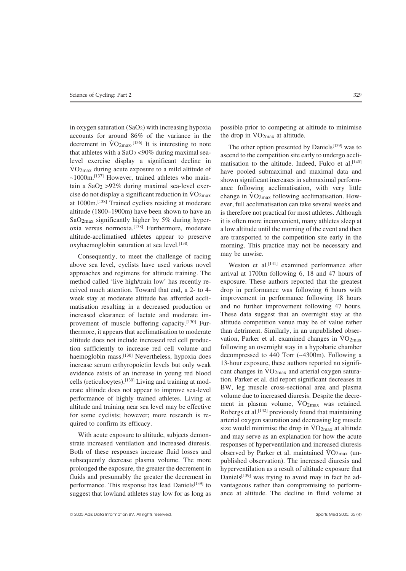accounts for around 86% of the variance in the decrement in  $\rm \dot{V}O_{2max}$ . [136] It is interesting to note decrement in  $VO_{2max}$ .<sup>[136]</sup> It is interesting to note The other option presented by Daniels<sup>[139]</sup> was to that athletes with a SaO<sub>2</sub> <90% during maximal seathat athletes with a SaO<sub>2</sub> <90% during maximal sea-<br>level exercise display a significant decline in matisation to the altitude. Indeed, Fulco et al.<sup>[140]</sup>  $\sqrt[3]{\text{O2max}}$  during acute exposure to a mild altitude of have pooled submaximal and maximal data and  $\approx$  1000m.<sup>[137]</sup> However, trained athletes who maintain a SaO<sub>2</sub> >92% during maximal sea-level exer-<br>ance following acclimatisation, with very little cise do not display a significant reduction in  $\overline{VO_{2max}}$  change in  $\overline{VO_{2max}}$  following acclimatisation. Howat 1000m.<sup>[138]</sup> Trained cyclists residing at moderate ever, full acclimatisation can take several weeks and altitude (1800–1900m) have been shown to have an is therefore not practical for most athletes. Although altitude (1800–1900m) have been shown to have an is therefore not practical for most athletes. Although  $SaO_{2max}$  significantly higher by 5% during hyper-it is often more inconvenient, many athletes sleep at  $SaO_{2max}$  significantly higher by 5% during hyper-<br>oxia versus normoxia.<sup>[138]</sup> Furthermore, moderate a low altitude until the morning of the event and then oxia versus normoxia.<sup>[138]</sup> Furthermore, moderate a low altitude until the morning of the event and then altitude-acclimatised athletes appear to preserve are transported to the competition site early in the altitude-acclimatised athletes appear to preserve are transported to the competition site early in the oxyhaemoglobin saturation at sea level.<sup>[138]</sup> morning. This practice may not be necessary and

Consequently, to meet the challenge of racing may be unwise. above sea level, cyclists have used various novel Weston et al.<sup>[141]</sup> examined performance after approaches and regimens for altitude training. The arrival at 1700m following 6, 18 and 47 hours of method called 'live high/train low' has recently re- exposure. These authors reported that the greatest ceived much attention. Toward that end, a 2- to 4- drop in performance was following 6 hours with week stay at moderate altitude has afforded accli- improvement in performance following 18 hours matisation resulting in a decreased production or and no further improvement following 47 hours.<br>increased clearance of lactate and moderate im-<br>These data suggest that an overnight stay at the increased clearance of lactate and moderate improvement of muscle buffering capacity.<sup>[130]</sup> Fur- altitude competition venue may be of value rather thermore, it appears that acclimatisation to moderate than detriment. Similarly, in an unpublished obseraltitude does not include increased red cell produc-<br>tion, Parker et al. examined changes in  $\rm VO_{2max}$ <br>tion sufficiently to increase red cell volume and following an overnight stay in a hypobaric chamber tion sufficiently to increase red cell volume and following an overnight stay in a hypobaric chamber<br>the haemoglobin mass  $^{[130]}$  Nevertheless hypoxia does decompressed to 440 Torr (~4300m). Following a haemoglobin mass.<sup>[130]</sup> Nevertheless, hypoxia does decompressed to 440 Torr (~4300m). Following a necrease serum erthyropoietin levels but only weak 13-hour exposure, these authors reported no signifiincrease serum erthyropoietin levels but only weak  $13$ -hour exposure, these authors reported no signifi-<br>evidence exists of an increase in young red blood cant changes in  $VO<sub>2max</sub>$ </sub> and arterial oxygen satura-

With acute exposure to altitude, subjects demon-<br>strate increased ventilation and increased diuresis.<br>responses of hyperventilation and increased diuresis Both of these responses increase fluid losses and observed by Parker et al. maintained  $\rm{VO}_{2max}$  (unsubsequently decrease plasma volume. The more published observation). The increased diuresis and prolonged the exposure, the greater the decrement in hyperventilation as a result of altitude exposure that fluids and presumably the greater the decrement in Daniels<sup>[139]</sup> was trying to avoid may in fact be adperformance. This response has lead Daniels<sup>[139]</sup> to vantageous rather than compromising to performsuggest that lowland athletes stay low for as long as ance at altitude. The decline in fluid volume at

in oxygen saturation (SaO<sub>2</sub>) with increasing hypoxia possible prior to competing at altitude to minimise accounts for around 86% of the variance in the drop in  $\rm{VO}_{2max}$  at altitude.

shown significant increases in submaximal performmorning. This practice may not be necessary and

merculation exists of an increase in young red blood<br>
existence exists of an increase in young red blood<br>
cells (reticulocytes).<sup>[130]</sup> Living and training at mod-<br>
performance of highly trained athletes. Living at<br>
perfo responses of hyperventilation and increased diuresis.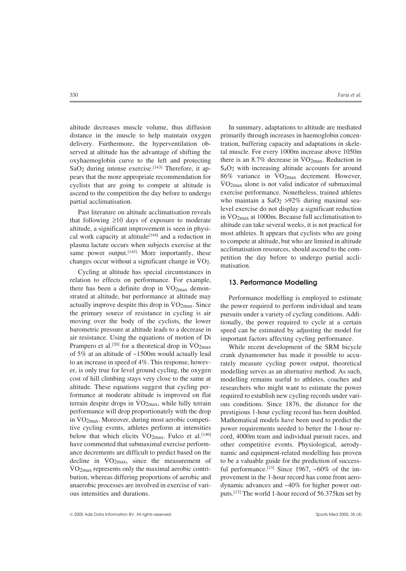distance in the muscle to help maintain oxygen primarily through increases in haemoglobin concendelivery. Furthermore, the hyperventilation ob- tration, buffering capacity and adaptations in skeleserved at altitude has the advantage of shifting the tal muscle. For every 1000m increase above 1050m oxyhaemoglobin curve to the left and protecting there is an  $8.7\%$  decrease in VO<sub>2max</sub>. Reduction in SaO<sub>2</sub> during intense exercise.<sup>[143]</sup> Therefore, it ap- $S_aO_2$  with increasing altitude accounts for around pears that the more appropriate recommendation for  $86\%$  variance in  $\rm{VO2max}$  decrement. However, cyclists that are going to compete at altitude is  $\overline{VO2max}$  alone is not valid indicator of submaximal ascend to the competition the day before to undergo exercise performance. Nonetheless, trained athletes ascend to the competition the day before to undergo

Cycling at altitude has special circumstances in relation to effects on performance. For example, **13. Performance Modelling** there has been a definite drop in  $VO<sub>2max</sub>$  demonstrated at altitude, but performance at altitude may Performance modelling is employed to estimate actually improve despite this drop in  $\overline{VQ_{2max}}$ . Since the power required to perform individual and team the primary source of resistance in cycling is air pursuits under a variety of cycling conditions. Addimoving over the body of the cyclists, the lower tionally, the power required to cycle at a certain barometric pressure at altitude leads to a decrease in speed can be estimated by adjusting the model for air resistance. Using the equations of motion of Di important factors affecting cycling performance. Prampero et al.<sup>[20]</sup> for a theoretical drop in  $\overline{VO}_{2max}$  While recent development of the SRM bicycle of 5% at an altitude of ~1500m would actually lead crank dynamometer has made it possible to accuof 5% at an altitude of ~1500m would actually lead crank dynamometer has made it possible to accu-<br>to an increase in speed of 4%. This response, howev-<br>rately measure cycling power output, theoretical to an increase in speed of 4%. This response, howev-<br>er, is only true for level ground cycling, the oxygen modelling serves as an alternative method. As such, er, is only true for level ground cycling, the oxygen modelling serves as an alternative method. As such, cost of hill climbing stays very close to the same at modelling remains useful to athletes, coaches and altitude. These equations suggest that cycling per- researchers who might want to estimate the power formance at moderate altitude is improved on flat required to establish new cycling records under variterrain despite drops in  $VO2_{\text{max}}$ , while hilly terrain ous conditions. Since 1876, the distance for the performance will drop proportionately with the drop prestigious 1-hour cycling record has been doubled. in  $\rm{VO2}_{max}$ . Moreover, during most aerobic competi- Mathematical models have been used to predict the tive cycling events, athletes perform at intensities power requirements needed to better the 1-hour rebelow that which elicits  $VO2_{max}$ . Fulco et al.<sup>[140]</sup> cord, 4000m team and individual pursuit races, and have commented that submaximal exercise perform- other competitive events. Physiological, aerodyance decrements are difficult to predict based on the namic and equipment-related modelling has proven decline in  $\text{VO2max}$ , since the measurement of to be a valuable guide for the prediction of success- $\rm{VO2}_{max}$  represents only the maximal aerobic contri-<br>ful performance.<sup>[13]</sup> Since 1967, ~60% of the imbution, whereas differing proportions of aerobic and provement in the 1-hour record has come from aeroanaerobic processes are involved in exercise of vari- dynamic advances and ~40% for higher power outous intensities and durations. puts.[13] The world 1-hour record of 56.375km set by

altitude decreases muscle volume, thus diffusion In summary, adaptations to altitude are mediated partial acclimatisation.<br>
Reading a significant particular acclimatisation records a significant reduction<br>
Reading a significant reduction Past literature on altitude acclimatisation reveals<br>that following  $\geq$ 10 days of exposure to moderate<br>altitude can take several weeks, it is not practical for<br>altitude, a significant improvement is seen in physi-<br>cal wo

pursuits under a variety of cycling conditions. Addi-

modelling remains useful to athletes, coaches and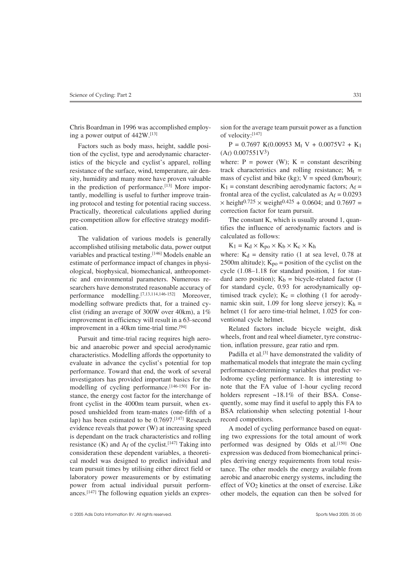Chris Boardman in 1996 was accomplished employ- sion for the average team pursuit power as a function ing a power output of  $442W$ .<sup>[13]</sup> of velocity:<sup>[147]</sup>

tion of the cyclist, type and aerodynamic character-Practically, theoretical calculations applied during pre-competition allow for effective strategy modifi- The constant K, which is usually around 1, quan-

The validation of various models is generally calculated as follows:<br>complished utilising metabolic data, power output  $K_1 = K_d \times K_{po} \times K_b \times K_c \times K_h$ accomplished utilising metabolic data, power output improvement in efficiency will result in a 63-second ventional cycle helmet. improvement in a 40km time-trial time.<sup>[94]</sup> Related factors include bicycle weight, disk

bic and anaerobic power and special aerodynamic<br>characteristics. Modelling affords the opportunity to Padilla et al.<sup>[3]</sup> have demonstrated the validity of characteristics. Modelling affords the opportunity to have demonstrated the validity of evaluate in advance the cyclist's potential for top mathematical models that integrate the main cycling evaluate in advance the cyclist's potential for top mathematical models that integrate the main cycling<br>performance. Toward that end, the work of several performance-determining variables that predict veperformance. Toward that end, the work of several investigators has provided important basics for the lodrome cycling performance. It is interesting to modelling of cycling performance.<sup>[146-150]</sup> For in- note that the FA value of 1-hour cycling record stance, the energy cost factor for the interchange of holders represent  $\sim$ 18.1% of their BSA. Consestance, the energy cost factor for the interchange of front cyclist in the 4000m team pursuit, when ex- quently, some may find it useful to apply this FA to posed unshielded from team-mates (one-fifth of a BSA relationship when selecting potential 1-hour lap) has been estimated to be  $0.7697$ . [147] Research record competitors. evidence reveals that power (W) at increasing speed A model of cycling performance based on equatis dependant on the track characteristics and rolling ing two expressions for the total amount of work resistance (K) and  $A_f$  of the cyclist.<sup>[147]</sup> Taking into performed was designed by Olds et al.<sup>[150]</sup> One consideration these dependent variables, a theoreti- expression was deduced from biomechanical princical model was designed to predict individual and ples deriving energy requirements from total resisteam pursuit times by utilising either direct field or tance. The other models the energy available from laboratory power measurements or by estimating aerobic and anaerobic energy systems, including the power from actual individual pursuit perform- effect of VO<sub>2</sub> kinetics at the onset of exercise. Like ances.<sup>[147]</sup> The following equation yields an expres- other models, the equation can then be solved for

Factors such as body mass, height, saddle posi-<br>n of the cyclist type and aerodynamic character-<br>(At) 0.007551V<sup>3</sup>)

istics of the bicycle and cyclist's apparel, rolling where:  $P = power(W)$ ;  $K = constant$  describing resistance of the surface, wind, temperature, air den- track characteristics and rolling resistance;  $M_t$  = sity, humidity and many more have proven valuable mass of cyclist and bike (kg);  $V = speed (km/hour)$ ; in the prediction of performance.<sup>[13]</sup> More impor-  $K_1$  = constant describing aerodynamic factors; Af = tantly, modelling is useful to further improve train-<br>frontal area of the cyclist, calculated as  $A_f = 0.0293$ ing protocol and testing for potential racing success.  $\times$  height<sup>0.725</sup>  $\times$  weight<sup>0.425</sup> + 0.0604; and 0.7697 = Practically, theoretical calculations applied during correction factor for team pursuit.

cation. tifies the influence of aerodynamic factors and is

variables and practical testing.  $[146]$  Models enable an where: K<sub>d</sub> = density ratio (1 at sea level, 0.78 at estimate of performance impact of changes in physi-  $2500$ m altitude); K<sub>po</sub> = position of the cyclist on the ological, biophysical, biomechanical, anthropomet- cycle (1.08–1.18 for standard position, 1 for stanric and environmental parameters. Numerous re- dard aero position);  $K_b$  = bicycle-related factor (1 searchers have demonstrated reasonable accuracy of for standard cycle, 0.93 for aerodynamically op-<br>performance modelling.<sup>[7,13,114,146-152]</sup> Moreover, timised track cycle);  $K_c$  = clothing (1 for aerody-Moreover, timised track cycle);  $K_c$  = clothing (1 for aerodymodelling software predicts that, for a trained cy- namic skin suit, 1.09 for long sleeve jersey);  $K_h$  = clist (riding an average of 300W over 40km), a  $1\%$  helmet (1 for aero time-trial helmet, 1.025 for con-

Pursuit and time-trial racing requires high aero-<br>
end anaerobic nower and special aerodynamic tion, inflation pressure, gear ratio and rpm.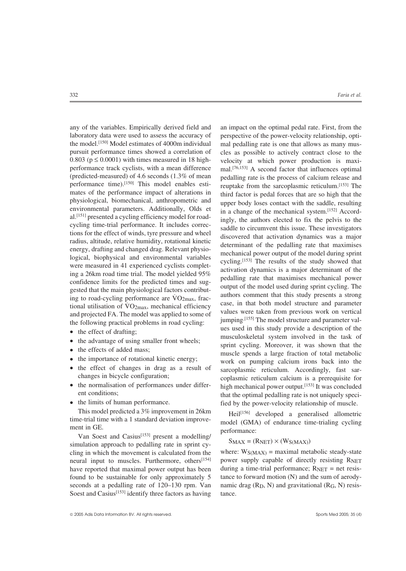the model.<sup>[150]</sup> Model estimates of 4000m individual mal pedalling rate is one that allows as many muspursuit performance times showed a correlation of cles as possible to actively contract close to the 0.803 ( $p \le 0.0001$ ) with times measured in 18 high-<br>performance track cyclists, with a mean difference and [76,153] A second factor that influences optimal performance track cyclists, with a mean difference  $\frac{m \text{al}}{2}$ . A second factor that influences optimal (predicted-measured) of 4.6 seconds (1.3% of mean  $\frac{m \text{al}}{2}$  pedalling rate is the process of calcum release a (predicted-measured) of 4.6 seconds  $(1.3\%$  of mean pedalling rate is the process of calcium release and performance time).<sup>[150]</sup> This model enables esti-<br>performance time).<sup>[150]</sup> This model enables estiperformance time).<sup>[150]</sup> This model enables esti-<br>mates of the performance impact of alterations in third factor is padal forces that are so high that the mates of the performance impact of alterations in<br>
physiological, biomechanical, anthropometric and<br>
environmental parameters. Additionally, Olds et in a change of the mechanical system.<sup>[152]</sup> Accord-<br>
al.<sup>[151]</sup> present

- 
- 
- 
- 
- 
- 
- 

cling in which the movement is calculated from the where:  $W_{S(MAX)}$  = maximal metabolic steady-state neural input to muscles. Furthermore, others<sup>[154]</sup> power supply capable of directly resisting RNET have reported that maximal power output has been during a time-trial performance;  $R<sub>NET</sub>$  = net resisfound to be sustainable for only approximately  $5$  tance to forward motion  $(N)$  and the sum of aerodyseconds at a pedalling rate of 120–130 rpm. Van namic drag  $(R_D, N)$  and gravitational  $(R_G, N)$  resis-Soest and Casius<sup>[153]</sup> identify three factors as having tance.

any of the variables. Empirically derived field and an impact on the optimal pedal rate. First, from the laboratory data were used to assess the accuracy of perspective of the power-velocity relationship, optial.<sup>[151]</sup> presented a cycling efficiency model for road-<br>
cycling time-trial performance. It includes correct<br>
coms for the effect of winds, tyre pressure and whele<br>
consistence the effect of winds, tyre pressure and whel • the enects of added mass, muscle spends a large fraction of total metabolic work on pumping calcium irons back into the • the effect of changes in drag as a result of sarcoplasmic reticulum. Accordingly, fast sar-<br>
coplasmic reticulum calcium is a prerequisite for<br>
• the normalisation of performances under differ-<br>
bigh mechanical power ou the normalisation of performances under differ-<br>ent conditions:<br>that the optimal pedalling rate is not uniquely specithat the optimal pedalling rate is not uniquely speci-• the limits of human performance. fied by the power-velocity relationship of muscle.

This model predicted a 3% improvement in 26km<br>time-trial time with a 1 standard deviation improve-<br>ment in GE.<br>Van Soest and Casius<sup>[153]</sup> present a modelling/<br>simulation approach to pedalling rate in sprint cy-<br>SMAX = (R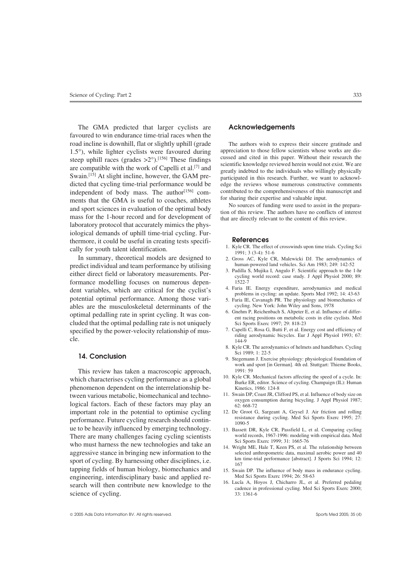The GMA predicted that larger cyclists are **Acknowledgements** favoured to win endurance time-trial races when the road incline is downhill, flat or slightly uphill (grade The authors wish to express their sincere gratitude and 1.5°), while lighter cyclists were favoured during appreciation to those fellow scientists whose works are dis-<br>the precise of  $\frac{156}{156}$  These findings cussed and cited in this paper. Without their research the steep uphill races (grades  $>2^{\circ}$ ).<sup>[156]</sup> These findings cussed and cited in this paper. Without their research the scientific knowledge reviewed herein would not exist. We are are compatible with the work of Capelli e dicted that cycling time-trial performance would be edge the reviews whose numerous constructive comments independent of body mass. The author<sup>[156]</sup> com-<br>monte that the GMA is useful to googless, othletes for sharing their expertise and valuable input. ments that the GMA is useful to coaches, athletes for sharing their expertise and valuable input.<br>No sources of funding were used to assist in the prepara-<br>tion of this review. The authors have no conflicts of interest mass for the 1-hour record and for development of that are directly relevant to the content of this review. laboratory protocol that accurately mimics the physiological demands of uphill time-trial cycling. Furthermore, it could be useful in creating tests specifi- **References**

In summary, theoretical models are designed to 2. Gross AC, Kyle CR, Malewicki DJ. The aerodynamics of dict individual and team performance by utilising human-powered land vehicles. Sci Am 1983; 249: 142-52 predict individual and team performance by utilising<br>either direct field or laboratory measurements. Per-<br>either direct field or laboratory measurements. Per-<br>cycling world record: case study. J Appl Physiol 2000; 89: formance modelling focuses on numerous depen-<br>dent variables, which are critical for the cyclist's  $\frac{1522-7}{4}$ . Faria IE. Energy expenditure, aerodynamics and medical dent variables, which are critical for the cyclist's <sup>4. Faria IE.</sup> Energy expenditure, aerodynamics and medical potential optimal performance. Among those vari-<br>problems in cycling: an update. Sports Med 1992; 14: 43-63 ables are the musculoskeletal determinants of the cycling. New York: John Wiley and Sons, 1978<br>6. Gnehm P, Reichenbach S, Altpeter E, et al. Influence of differ-6. Gnehm P, Reichenbach S, Altpeter E, et al. Influence of differ-<br>ent racing positions on metabolic costs in elite cyclists. Med<br>Sci Sports Exerc 1997; 29: 818-23 cluded that the optimal pedalling rate is not uniquely<br>sports Exerc 1997; 29: 818-23<br>specified by the power-yelocity relationship of mus-<br>7. Capelli C, Rosa G, Butti F, et al. Energy cost and efficiency of specified by the power-velocity relationship of mus-<br>
cle.<br>
144-9<br>
144-9<br>
144-9

This review has taken a macroscopic approach,<br>is a macroscopic approach, the CR. Mechanical factors affecting the speed of a cycle. In:<br>is a happropriate and the CR. Mechanical factors affecting the speed of a cycle. In: which characterises cycling performance as a global Burke ER, editor. Science of cycling. Champaign (IL): Human<br>Burke ER, editor. Science of cycling. Champaign (IL): Human phenomenon dependent on the interrelationship be-<br>tween various metabolic, biomechanical and techno-<br>11. Swain DP, Coast JR, Clifford PS, et al. Influence of body size on tween various metabolic, biomechanical and techno-<br>logical factors. Each of these factors may play an logical factors. Each of these factors may play an  $\frac{62:668-72}{62:668-72}$ important role in the potential to optimise cycling 12. De Groot G, Sargeant A, Geysel J. Air friction and rolling<br>resistance during cycling. Med Sci Sports Exerc 1995; 27: performance. Future cycling research should contin- $_{1090-5}$ ue to be heavily influenced by emerging technology. 13. Bassett DR, Kyle CR, Passfield L, et al. Comparing cycling<br>There are many challenges facing cycling scientists world records, 1967-1996: modeling with empirical data. There are many challenges facing cycling scientists world records, 1967-1996: modeling Sci Sports Exerc 1999; 31: 1665-76 who must harness the new technologies and take an 14. Wright ME, Hale T, Keen PS, et al. The relationship between aggressive stance in bringing new information to the selected anthropometric data, maximal aerobic power and 40<br>
selected anthropometric data, maximal aerobic power and 40<br>
km time-trial performance [abstract]. J Sports Sc sport of cycling. By harnessing other disciplines, i.e.  $\frac{\text{km}}{167}$ tapping fields of human biology, biomechanics and 15. Swain DP. The influence of body mass in endurance cycling. engineering, interdisciplinary basic and applied re-<br>
<sup>Med Sci Sports Exerc 1994; 26: 58-63</sup><br>
<sup>16.</sup> Lucía A, Hoyos J, Chicharro JL, et al. Preferred pedaling 16. Lucia A, Hoyos J, Chicharro JL, et al. Preferred pedaling search will then contribute new knowledge to the<br>science of cycling. Med Sci Sports Exerc 2000;<br>33: 1361-6 science of cycling.

- 1. Kyle CR. The effect of crosswinds upon time trials. Cycling Sci cally for youth talent identification. 1991; 3 (3-4): 51-6
	-
	-
	-
	- 5. Faria IE, Cavanagh PR. The physiology and biomechanics of cycling. New York: John Wiley and Sons, 1978
	-
	-
	- 8. Kyle CR. The aerodynamics of helmets and handlebars. Cycling
	- **14. Conclusion**<br>9. Stegemann J. Exercise physiology: physiological foundation of work and sport [in German]. 4th ed. Stuttgart: Thieme Books,
		-
		-
		-
		-
		-
		-
		-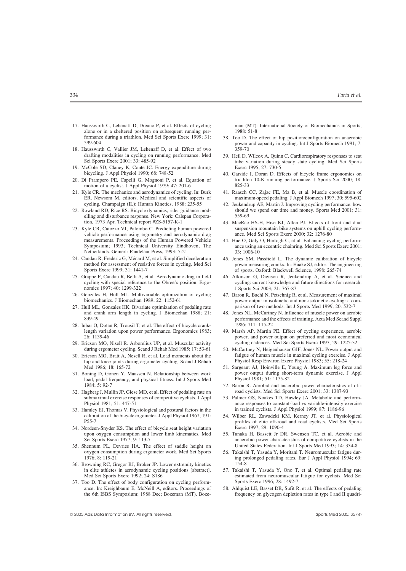- 17. Hausswirth C, Lehenaff D, Dreano P, et al. Effects of cycling man (MT): International Society of Biomechanics in Sports, alone or in a sheltered position on subsequent running per-<br>1988: 51-8 alone or in a sheltered position on subsequent running performance during a triathlon. Med Sci Sports Exerc 1999; 31: 38. Too D. The effect of hip position/configuration on anaerobic
- 18. Hausswirth C, Vallier JM, Lehenaff D, et al. Effect of two 359-70 drafting modalities in cycling on running performance. Med 39. Heil D. drafting modalities in cycling on running performance. Med 39. Heil D, Wilcox A, Quinn C. Cardiorespiratory responses to seat<br>Sci Sports Exerc 2001; 33: 485-92<br>tube variation during steady state cycling. Med Sci Sports
- 19. McCole SD, Claney K, Conte JC. Energy expenditure during bicycling. J Appl Physiol 1990; 68: 748-52 40. Garside I, Doran D. Effects of bicycle frame ergonomics on
- motion of a cyclist. J Appl Physiol 1979; 47: 201-6
- 21. Kyle CR. The mechanics and aerodynamics of cycling. In: Burk 41. Raasch CC, Zajac FE, Ma B, et al. Muscle coordination of ER, Newsom M, editors. Medical and scientific aspects of maximum-speed pedaling. J Appl Biomech ER, Newsom M, editors. Medical and scientific aspects of
- 22. Rowland RD, Rice RS. Bicycle dynamics, rider guidance mod-<br>
elling and disturbance response. New York: Calspan Corpora- 559-69 elling and disturbance response. New York: Calspan Corporation, 1973 Apr. Technical report #ZS-5157-K-1 43. MacRae HS-H, Hise KJ, Allen PJ. Effects of front and dual
- vehicle performance using ergometry and aerodynamic drag measurements. Proceedings of the Human Powered Vehicle Netherlands. Gemert: Pandelaar Press, 1993: 5-21 33: 1006-10
- 24. Candau R, Frederic G, Ménard M, et al. Simplified deceleration  $\frac{45}{2}$ . Jones SM, Passfield L. The dynamic calibration of bicycle method for assessment of resistive forces in cycling. Med Sci
- 25. Grappe F, Candau R, Belli A, et al. Aerodynamic drag in field 46. Atkinson G, Davison R, Jeukendrup A, et al. Science and nomics 1997; 40: 1299-322 J Sports Sci 2003; 21: 767-87
- 26. Gonzales H, Hull ML. Multivariable optimization of cycling 47. Baron R, Bachl N, Petschnig R, et al. Measurement of maximal biomechanics. J Biomechan 1989; 22: 1152-61 power output in isokinetic and non-isokinetic cycl
- and crank arm length in cycling. J Biomechan 1988; 21: 48. Jones NL, McCartney N. Influence of muscle power on aerobic
- 28. Inbar O, Dotan R, Trousil T, et al. The effect of bicycle cranklength variation upon power performance. Ergonomics 1983; 49. Marsh AP, Martin PE. Effect of cycling experience, aerobic
- 
- 30. Ericson MO, Bratt A, Nesell R, et al. Load moments about the fatigue of human muscle in maximal cycling exercise.<br>218-24 Physiol Resp Environ Exerc Physiol 1983; 55: 218-24 hip and knee joints during ergometer cycling. Scand J Rehab Med 1986; 18: 165-72 51. Sargeant AJ, Hoinville E, Young A. Maximum leg force and
- load, pedal frequency, and physical fitness. Int J Sports Med
- 32. Hagberg J, Mullin JP, Giese MD, et al. Effect of pedaling rate on road cyclists. Med Sci Sports Exerc 2001; 33: 1387-93<br>submaximal exercise responses of competitive cyclists. J Appl 53. Palmer GS, Noakes TD, Hawley JA.
- calibration of the bicycle ergometer. J Appl Physiol 1967; 191: 54. Wilber RL, Zawadzki KM, Kerney JT, et al. Physiological
- 34. Nordeen-Snyder KS. The effect of bicycle seat height variation Exerc 1997; 29: 1090-4
- 
- 36. Browning RC, Gregor RJ, Broker JP. Lower extremity kinetics 154-8 in elite athletes in aerodynamic cycling positions [abstract]. 57. Takaish
- 37. Too D. The effect of body configuration on cycling perform-<br>ance. In: Kreighbaum E, McNeill A, editors. Proceedings of the 6th ISBS Symposium; 1988 Dec; Bozeman (MT). Boze-

- power and capacity in cycling. Int J Sports Biomech 1991; 7:
- tube variation during steady state cycling. Med Sci Sports Exerc 1995; 27: 730-5
- 20. Di Prampero PE, Capelli G, Mognoni P, et al. Equation of triathlon 10-K running performance. J Sports Sci 2000; 18: motion of a cyclist. J Appl Physiol 1979: 47: 201-6 825-33
	-
	- cycling. Champaign (IL): Human Kinetics, 1988: 235-55 42. Jeukendrup AE, Martin J. Improving cycling performance: how<br>Nowland RD, Rice RS. Bicycle dynamics, rider guidance mod-<br>Should we spend our time and money. Sports Me
- 23. Kyle CR, Caiozzo VJ, Palombo C. Predicting human powered suspension mountain bike systems on uphill cycling perform-<br>vehicle performance using ergometry and aerodynamic drag ance. Med Sci Sports Exerc 2000; 32: 1276-80
	- measurements. Proceedings of the Human Powered Vehicle 44. Hue O, Galy O, Hertogh C, et al. Enhancing cycling perform-<br>Symposium; 1993; Technical University Eindhoven, The ance using an eccentric chainring. Med Sci Sports ance using an eccentric chainring. Med Sci Sports Exerc 2001;
	- method for assessment of resistive forces in cycling. Med Sci power measuring cranks. In: Haake SJ, editor. The engineering<br>Sports Exerc 1999; 31: 1441-7<br>of sports. Oxford: Blackwell Science, 1998: 265-74 of sports. Oxford: Blackwell Science, 1998: 265-74
	- cycling with special reference to the Obree's position. Ergo- cycling: current knowledge and future directions for research.
- power output in isokinetic and non-isokinetic cycling: a com-27. Hull ML, Gonzales HK. Bivariate optimization of pedaling rate parison of two methods. Int J Sports Med 1999; 20: 532-7
	- 839-49<br>
	hhar O. Dotan R. Trousil T. et al. The effect of bicycle crank-<br>
	1986: 711: 115-22
- 26: 1139-46 power, and power output on preferred and most economical 29. Ericson MO, Nisell R. Arborelius UP, et al. Muscular activity cycling cadences. Med Sci Sports Exerc 1997; 29: 1225-32
	- during ergometer cycling. Scand J Rehab Med 1985; 17: 53-61 50. McCartney N, Heigenhauser GJF, Jones NL. Power output and<br>
	<sup>5</sup> fatigue of human muscle in maximal cycling exercise. J Appl<sup>5</sup> fatigue of human muscle in maxim
- 31. Boning D, Gonen Y, Maassen N. Relationship between work power output during short-term dynamic exercise. J Appl<br>load, pedal frequency, and physical fitness. Int J Sports Med Physiol 1981; 51: 1175-82
	- 1984; 5: 92-7 52. Baron R. Aerobid and anaerobic power characteristics of off-
- submaximal exercise responses of competitive cyclists. J Appl 53. Palmer GS, Noakes TD, Hawley JA. Metabolic and perform-<br>Physiol 1981; 51: 447-51<br>Rhysiol 1981; 51: 447-51 ance responses to constant-load vs variable-intensity exercise 33. Hamley EJ, Thomas V. Physiological and postural factors in the in trained cyclists. J Appl Physiol 1999; 87: 1186-96
	- P55-7 profiles of elite off-road and road cyclists. Med Sci Sports
- 55. Tanaka H, Bassett Jr DR, Swensen TC, et al. Aerobic and Sci Sports Exerc 1977; 9: 113-7 anaerobic power characteristics of competitive cyclists in the 35. Shennum PL, Devries HA. The effect of saddle height on United States Federation. Int J Sports Med 1993; 14: 334-8
	- oxygen consumption during ergometer work. Med Sci Sports 56. Takaishi T, Yasuda Y, Moritani T. Neuromuscular fatigue during prolonged pedaling rates. Eur J Appl Physiol 1994; 69:
	- 57. Takaishi T, Yasuda Y, Ono T, et al. Optimal pedaling rate Med Sci Sports Exerc 1992; 24: S186 estimated from neuromuscular fatigue for cyclists. Med Sci<br>
	o D. The effect of body configuration on cycling perform-<br>
	Sports Exerc 1996; 28: 1492-7
		- 58. Ahlquist LE, Basset DR, Sufit R, et al. The effects of pedaling frequency on glycogen depletion rates in type I and II quadri-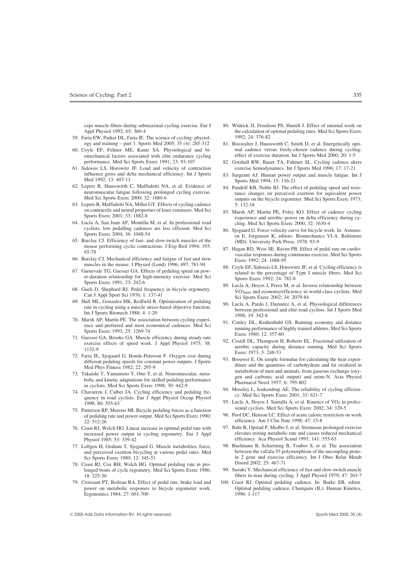- 59. Faria EW, Parker DL, Faria IE. The science of cycling: physiol-<br>ogy and training part 1. Sports Med 2005; 35 (4): 285-312 81. Bisswalter J, Haus
- performance. Med Sci Sports Exerc 1991; 23: 93-107 82. Gotshall RW, Bauer TA, Fahrner SL. Cycling cadence alters
- 61. Sidossis LS, Horowitz JF. Load and velocity of contraction exercise hemodynamics. Int J Sports Med 1996; 17: 17-21 influence gross and delta mechanical efficiency. Int J Sports 83 Sargeant AT Human nower output and mus influence gross and delta mechanical efficiency. Int J Sports 83. Sargeant AJ. Human power output and muscle fatigue. Int J<br>Med 1992: 13: 407-11<br>Sports Med 1994: 15: 116-21 Med 1992; 13: 407-11 Sports Med 1992; 13: 407-11<br>62. Lepers R, Hausswirth C, Maffiuletti NA, et al. Evidence of 84 Pandolf KB Noble BI The ef
- 
- 63. Lepers R, Maffiuletti NA, Millet GY. Effects of cycling cadence on contractile and neural properties of knee extensors. Med Sci
- 64. Lucía A, San Juan AF, Montilla M, et al. In professional road cyclists, low pedalling cadences are less efficient. Med Sci
- 
- 
- 
- 
- 
- 
- 
- 
- 
- 
- of pedaling rate and power output. Med Sci Sports Exerc 1990; efficiency. Am J Clin Nutr 1998; 47: 15-8<br>22: 512-26 efficiency. Am J Clin Nutr 1998; 47: 15-8<br>22: 512-26 efficiency. Am J Clin Nutr 1998; 47: 15-8
- increased power output in cycling ergometry. Eur J Appl
- and perceived exertion bicycling at various pedal rates. Med Sci Sports Exerc 1980; 12: 345-51
- 78. Coast RJ, Cox RH, Welch HG. Optimal pedaling rate in pro-<br>longed bouts of cycle ergometry. Med Sci Sports Exerc 1986; 99. Suzuki Y. Mechanical efficiency of fast and slow-twitch muscle longed bouts of cycle ergometry. Med Sci Sports Exerc 1986;
- Ergonomics 1984; 27: 691-700
- ceps muscle fibers during submaximal cycling exercise. Eur J 80. Widrick JJ, Freedson PS, Hamill J. Effect of internal work on Appl Physiol 1992; 65: 360-4 the calculation of optimal pedaling rates. Med Sci Sports Exerc the calculation of optimal pedaling rates. Med Sci Sports Exerc
- 81. Bisswalter J, Hausswirth C, Smith D, et al. Energetically opti-60. Coyle EF, Feltner ME, Kautz SA. Physiological and bi- mal cadence versus freely-chosen cadence during cycling: omechanical factors associated with elite endurance cycling effect of exercise duration. Int J Sports Med 2000; 20: 1-5
	-
	-
	- epers R, Hausswirth C, Maffiuletti NA, et al. Evidence of 84. Pandolf KB, Noble BJ. The effect of pedaling speed and resis-<br>neuromuscular fatigue following prolonged cycling exercise.<br>Med Sci Sports Exerc 2000; 32: 1880-6<br>
	- on contractile and neural properties of knee extensors. Med Sci 85. Marsh AP, Martin PE, Foley KO. Effect of cadence cycling experience and aerobic power on delta efficiency during cy-<br>
	Lucia A, San Juan AF, Montilla M, et
		-
- cyclists, low pedalling cadences are less efficient. Med Sci and Society curve for bicycle work. In: Asmuss-<br>Sports Exerc 2004; 36: 1048-54<br>65. Barclay CJ. Efficiency of fast- and slow-twitch muscles of the mouse performin
- muscles in the mouse. J Physiol (Lond) 1996; 497: 781-94<br>
er-duration relationship for high-intensity exerics of Pack and tower relationship for high-intensity exerics. Med Sci<br>
er-duration relationship for high-intensity
	-
	-
	-
	-
- Med Phys Fitness 1982; 22: 295-9 diture and the quantities of carbohydrate and fat oxidized in Takaishi T, Yamamoto T, Ono T, et al. Neuromuscular, meta-<br>
bolic and kinetic adaptations for skilled pedaling performance<br>
in cyclists. Med Sci Sports Exerc 1998; 30: 442-9<br>
74. Chavarren J, Calbet JA. Cycling efficiency
	-
- Simula A, Hoyos J, Santalla A, et al. Kinetics of VO<sub>2</sub> in protes-<br>75. Patterson RP, Moreno MI. Bicycle pedaling forces as a function<br>75. Patterson RP, Moreno MI. Bicycle pedaling forces as a function<br>75. Patterson I.C. Ef
	-
- 76. Coast RJ, Welch HG. Linear increase in optimal pedal rate with 97. Bahr R, Opstad P, Medbo J, et al. Strenuous prolonged exercise Physiol 1985; 53: 339-42<br>
ollgen H. Graham T. Siogaard G. Muscle metabolites, force. 98. Buelmann B, Schierning B, Toubro S, et al. The association
- 77. Lollgen H, Graham T, Sjogaard G. Muscle metabolites, force, 98. Buelmann B, Schierning B, Toubro S, et al. The association and perceived exertion bicycling at various pedal rates. Med between the val/ala-55 polymorphis in 2 gene and exercise efficiency. Int J Obes Relat Metab Disord 2002; 25: 467-71
	- 18: 225-30 fibers in man during cycling. J Appl Physiol 1979; 47: 263-7
- 79. Croissant PT, Boileau RA. Effect of pedal rate, brake load and 100. Coast RJ. Optimal pedaling cadence. In: Burke ER, editor. Optimal pedaling cadence. Champain (IL): Human Kinetics, 1996: 1-117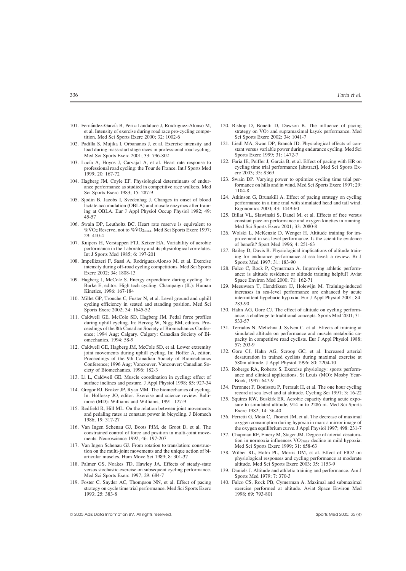- tition. Med Sci Sports Exerc 2000; 32: 1002-6 Sci Sports Exerc 2002; 34: 1041-7
- load during mass-start stage races in professional road cycling. stant versus variable power during Med Sci Sports Exerc 1999; 31: 1472-7 Med Sci Sports Exerc 2001; 33: 796-802<br>
ucta A Hovos I Carvaial A et al Heart rate response to 122. Faria IE, Peiffer J, Garcia B, et al. Effect of pacing with HR on
- 103. Lucía A, Hoyos J, Carvajal A, et al. Heart rate response to 122. Faria IE, Peitfer J, Garcia B, et al. Effect of pacing with HR on professional road cycling: the Tour de France. Int J Sports Med<br>1999; 20: 167-72 1999;
- 
- 104. Hagberg JM, Coyle EF. Physiological determinants of enduration of the content of the case of the case of the case of the case of the case of the case of the case of the case of the case of the case of the case of the
- 106. Swain DP, Leutholtz BC. Heart rate reserve is equivalent to<br>  $\% \text{VO2}$  Reserve, not to  $\% \text{VO2}$  max. Med Sci Sports Exerc 1997;<br>
29: 410-4<br>
107. Kuipers H, Verstappen FTJ, Keizer HA. Variability of aerobic<br>
107. K
- 
- 108. Impellizzeri F, Sassi A, Rodriguez-Alonso M, et al. Exercise Sports Med 1997; 31: 183-90<br>intensity during off-road cycling competitions. Med Sci Sports 128 Fulco C, Rock P, Cymerman
- 109. Hagberg J, McCole S. Energy expenditure during cycling. In:
- cycling efficiency in seated and standing position. Med Sci Sports Exerc 2002; 34: 1645-52
- 111. Caldwell GE, McCole SD, Hagberg JM. Pedal force profiles ance: a challenge to traditional concepts. Sports Med 2001; 31: during uphill cycling. In: Herzog W, Nigg BM, editors. Pro-<br>
533-57 ceedings of the 8th Canadian ence; 1994 Aug; Calgary. Calgary: Canadian Society of Bi-
- 112. Caldwell GE, Hagberg JM, McCole SD, et al. Lower extremity<br>
joint movements during uphill cycling. In: Hoffer A, editor.<br>
Proceedings of the 9th Canadian Society of Biomechanics<br>
Conference: 1996 Aug: Vancouver Vancou Conference; 1996 Aug; Vancouver. Vancouver: Canadian So-
- 
- 
- 113. Li L, Caldwell GE. Muscle coordination in cycling: effect of ance and clinical applications. St Louis (MO): Mosby Year-<br>surface inclines and posture. J Appl Physiol 1998; 85: 927-34<br>114. Gregor RJ, Broken IP, Ryan MM
- 
- 
- versus stochastic exercise on subsequent cycling performance. 139. Daniels J. Altitude and athletic training and performance. Am J Med Sci Sports Exerc 1997; 29: 684-7 Sports Med 1979; 7: 370-3
- 
- 101. Fernández-García B, Periz-Landaluce J, Roidriguez-Alonso M, 120. Bishop D, Bonetti D, Dawson B. The influence of pacing et al. Intensity of exercise during road race pro-cycling compe-<br>et al. Intensity of exercise dur strategy on  $\dot{V}O_2$  and supramaximal kayak performance. Med
- 102. Padilla S, Mujika I, Orbananos J, et al. Exercise intensity and 121. Liedl MA, Swan DP, Branch JD. Physiological effects of con-
	-
	-
	-
	-
	-
	-
	- intensity during off-road cycling competitions. Med Sci Sports 128. Fulco C, Rock P, Cymerman A. Improving athletic perform-<br>Exerc 2002; 34: 1808-13 ance: is altitude residence or altitude training helpful? Aviat and appro
- Burke E, editor. High tech cycling. Champaign (IL): Human 129. Meeuwsen T, Hendriksen IJ, Holewijn M. Training-induced increases in sea-level performance are enhanced by acute 110. Millet GP, Tronche C, Fuster N, et al. Level ground and uphill intermittent hypobaric hypoxia. Eur J Appl Physiol 2001; 84:<br>
cycling efficiency in seated and standing position Med Sci 283-90
	- 130. Hahn AG, Gore CJ. The effect of altitude on cycling perform-
	- ceedings of the 8th Canadian Society of Biomechanics Confer-<br>ence: 1994 Aug: Calgary. Calgary: Canadian Society of Bi-<br>simulated altitude on performance and muscle metabolic caomechanics, 1994: 58-9<br>
	pacity in competitive road cyclists. Eur J Appl Physiol 1988;<br>  $57:203-9$ 
		-
	- ciety of Biomechanics, 1996: 182-3<br>i J. Caldwell GE Muscle coordination in cycling: effect of ance and clinical applications. St Louis (MO): Mosby Year-
		-
		-
		-
- ments. Neuroscience 1992; 46: 197-207 tion in normoxia influences  $\sqrt{O_{2max}}$  decline in mild hypoxia.<br>117. Van Ingen Schenau GJ. From rotation to translation: construc-<br>118. Wilher RL, Holm PL, Morris DM, et al. Effect of
- tion on the multi-joint movements and the unique action of bi-<br>articular muscles. Hum Move Sci 1989; 8: 301-37<br>physiological responses and cycling performance at moderate physiological responses and cycling performance at moderate 118. Palmer GS, Noakes TD, Hawley JA. Effects of steady-state altitude. Med Sci Sports Exerc 2003; 35: 1153-9
	-
- 119. Foster C, Snyder AC, Thompson NN, et al. Effect of pacing 140. Fulco CS, Rock PB, Cymerman A. Maximal and submaximal strategy on cycle time trial performance. Med Sci Sports Exerced and submaximal exercise performed a strategy on cycle time trial performance. Med Sci Sports Exerc exercise performed at altitude. Aviat Space Environ Med 1993; 5: 383-8 1998; 69: 793-801